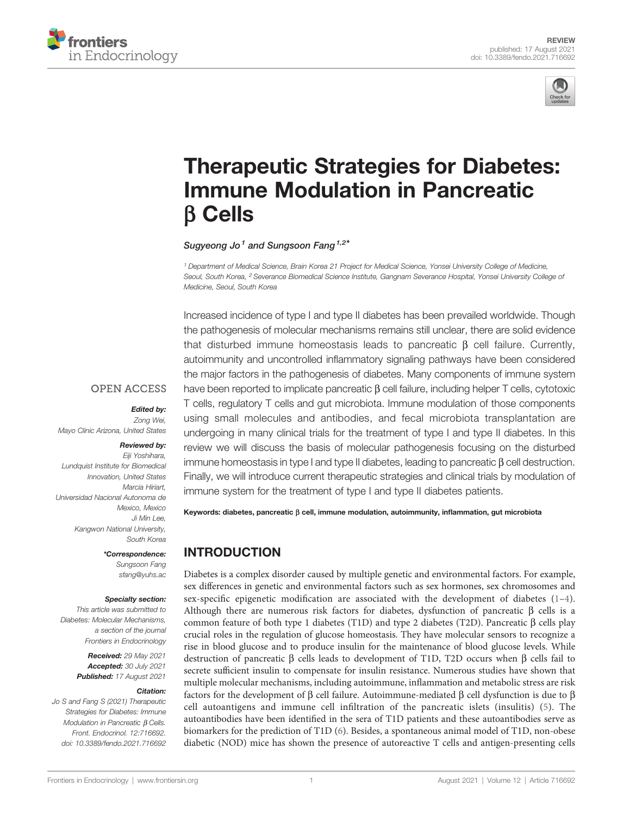



# [Therapeutic Strategies for Diabetes:](https://www.frontiersin.org/articles/10.3389/fendo.2021.716692/full) [Immune Modulation in Pancreatic](https://www.frontiersin.org/articles/10.3389/fendo.2021.716692/full) b [Cells](https://www.frontiersin.org/articles/10.3389/fendo.2021.716692/full)

Sugyeong Jo<sup>1</sup> and Sungsoon Fang<sup>1,2\*</sup>

<sup>1</sup> Department of Medical Science, Brain Korea 21 Project for Medical Science, Yonsei University College of Medicine, Seoul, South Korea, <sup>2</sup> Severance Biomedical Science Institute, Gangnam Severance Hospital, Yonsei University College of Medicine, Seoul, South Korea

Increased incidence of type I and type II diabetes has been prevailed worldwide. Though the pathogenesis of molecular mechanisms remains still unclear, there are solid evidence that disturbed immune homeostasis leads to pancreatic  $\beta$  cell failure. Currently, autoimmunity and uncontrolled inflammatory signaling pathways have been considered the major factors in the pathogenesis of diabetes. Many components of immune system have been reported to implicate pancreatic  $\beta$  cell failure, including helper T cells, cytotoxic T cells, regulatory T cells and gut microbiota. Immune modulation of those components using small molecules and antibodies, and fecal microbiota transplantation are undergoing in many clinical trials for the treatment of type I and type II diabetes. In this review we will discuss the basis of molecular pathogenesis focusing on the disturbed immune homeostasis in type I and type II diabetes, leading to pancreatic  $\beta$  cell destruction. Finally, we will introduce current therapeutic strategies and clinical trials by modulation of immune system for the treatment of type I and type II diabetes patients.

#### **OPEN ACCESS**

#### Edited by:

Zong Wei, Mayo Clinic Arizona, United States

#### Reviewed by:

Eiji Yoshihara, Lundquist Institute for Biomedical Innovation, United States Marcia Hiriart, Universidad Nacional Autonoma de Mexico, Mexico Ji Min Lee, Kangwon National University, South Korea

> \*Correspondence: Sungsoon Fang [sfang@yuhs.ac](mailto:sfang@yuhs.ac)

#### Specialty section:

This article was submitted to Diabetes: Molecular Mechanisms, a section of the journal Frontiers in Endocrinology

> Received: 29 May 2021 Accepted: 30 July 2021 Published: 17 August 2021

#### Citation:

Jo S and Fang S (2021) Therapeutic Strategies for Diabetes: Immune Modulation in Pancreatic  $\beta$  Cells. Front. Endocrinol. 12:716692. [doi: 10.3389/fendo.2021.716692](https://doi.org/10.3389/fendo.2021.716692) Keywords: diabetes, pancreatic  $\beta$  cell, immune modulation, autoimmunity, inflammation, gut microbiota

# INTRODUCTION

Diabetes is a complex disorder caused by multiple genetic and environmental factors. For example, sex differences in genetic and environmental factors such as sex hormones, sex chromosomes and sex-specific epigenetic modification are associated with the development of diabetes  $(1-4)$  $(1-4)$  $(1-4)$  $(1-4)$ . Although there are numerous risk factors for diabetes, dysfunction of pancreatic  $\beta$  cells is a common feature of both type 1 diabetes (T1D) and type 2 diabetes (T2D). Pancreatic  $\beta$  cells play crucial roles in the regulation of glucose homeostasis. They have molecular sensors to recognize a rise in blood glucose and to produce insulin for the maintenance of blood glucose levels. While destruction of pancreatic  $\beta$  cells leads to development of T1D, T2D occurs when  $\beta$  cells fail to secrete sufficient insulin to compensate for insulin resistance. Numerous studies have shown that multiple molecular mechanisms, including autoimmune, inflammation and metabolic stress are risk factors for the development of  $\beta$  cell failure. Autoimmune-mediated  $\beta$  cell dysfunction is due to  $\beta$ cell autoantigens and immune cell infiltration of the pancreatic islets (insulitis) [\(5](#page-7-0)). The autoantibodies have been identified in the sera of T1D patients and these autoantibodies serve as biomarkers for the prediction of T1D [\(6\)](#page-7-0). Besides, a spontaneous animal model of T1D, non-obese diabetic (NOD) mice has shown the presence of autoreactive T cells and antigen-presenting cells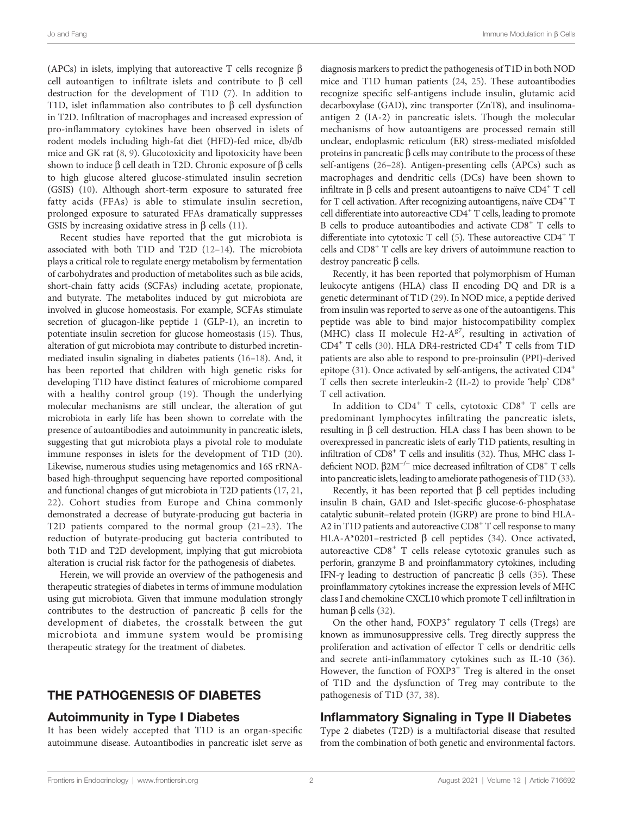(APCs) in islets, implying that autoreactive T cells recognize  $\beta$ cell autoantigen to infiltrate islets and contribute to  $\beta$  cell destruction for the development of T1D [\(7\)](#page-7-0). In addition to T1D, islet inflammation also contributes to  $\beta$  cell dysfunction in T2D. Infiltration of macrophages and increased expression of pro-inflammatory cytokines have been observed in islets of rodent models including high-fat diet (HFD)-fed mice, db/db mice and GK rat [\(8,](#page-7-0) [9](#page-7-0)). Glucotoxicity and lipotoxicity have been shown to induce  $\beta$  cell death in T2D. Chronic exposure of  $\beta$  cells to high glucose altered glucose-stimulated insulin secretion (GSIS) ([10\)](#page-7-0). Although short-term exposure to saturated free fatty acids (FFAs) is able to stimulate insulin secretion, prolonged exposure to saturated FFAs dramatically suppresses GSIS by increasing oxidative stress in  $\beta$  cells ([11](#page-7-0)).

Recent studies have reported that the gut microbiota is associated with both T1D and T2D [\(12](#page-7-0)–[14](#page-7-0)). The microbiota plays a critical role to regulate energy metabolism by fermentation of carbohydrates and production of metabolites such as bile acids, short-chain fatty acids (SCFAs) including acetate, propionate, and butyrate. The metabolites induced by gut microbiota are involved in glucose homeostasis. For example, SCFAs stimulate secretion of glucagon-like peptide 1 (GLP-1), an incretin to potentiate insulin secretion for glucose homeostasis [\(15](#page-7-0)). Thus, alteration of gut microbiota may contribute to disturbed incretinmediated insulin signaling in diabetes patients [\(16](#page-7-0)–[18](#page-7-0)). And, it has been reported that children with high genetic risks for developing T1D have distinct features of microbiome compared with a healthy control group ([19\)](#page-8-0). Though the underlying molecular mechanisms are still unclear, the alteration of gut microbiota in early life has been shown to correlate with the presence of autoantibodies and autoimmunity in pancreatic islets, suggesting that gut microbiota plays a pivotal role to modulate immune responses in islets for the development of T1D ([20\)](#page-8-0). Likewise, numerous studies using metagenomics and 16S rRNAbased high-throughput sequencing have reported compositional and functional changes of gut microbiota in T2D patients ([17,](#page-7-0) [21](#page-8-0), [22](#page-8-0)). Cohort studies from Europe and China commonly demonstrated a decrease of butyrate-producing gut bacteria in T2D patients compared to the normal group [\(21](#page-8-0)–[23\)](#page-8-0). The reduction of butyrate-producing gut bacteria contributed to both T1D and T2D development, implying that gut microbiota alteration is crucial risk factor for the pathogenesis of diabetes.

Herein, we will provide an overview of the pathogenesis and therapeutic strategies of diabetes in terms of immune modulation using gut microbiota. Given that immune modulation strongly contributes to the destruction of pancreatic  $\beta$  cells for the development of diabetes, the crosstalk between the gut microbiota and immune system would be promising therapeutic strategy for the treatment of diabetes.

#### THE PATHOGENESIS OF DIABETES

#### Autoimmunity in Type I Diabetes

It has been widely accepted that T1D is an organ-specific autoimmune disease. Autoantibodies in pancreatic islet serve as

diagnosis markers to predict the pathogenesis of T1D in both NOD mice and T1D human patients [\(24](#page-8-0), [25\)](#page-8-0). These autoantibodies recognize specific self-antigens include insulin, glutamic acid decarboxylase (GAD), zinc transporter (ZnT8), and insulinomaantigen 2 (IA-2) in pancreatic islets. Though the molecular mechanisms of how autoantigens are processed remain still unclear, endoplasmic reticulum (ER) stress-mediated misfolded proteins in pancreatic  $\beta$  cells may contribute to the process of these self-antigens [\(26](#page-8-0)–[28\)](#page-8-0). Antigen-presenting cells (APCs) such as macrophages and dendritic cells (DCs) have been shown to infiltrate in  $\beta$  cells and present autoantigens to naïve CD4<sup>+</sup> T cell for T cell activation. After recognizing autoantigens, naïve  $CD4^+$  T cell differentiate into autoreactive CD4<sup>+</sup> T cells, leading to promote B cells to produce autoantibodies and activate CD8<sup>+</sup> T cells to differentiate into cytotoxic T cell ([5](#page-7-0)). These autoreactive CD4<sup>+</sup> T cells and CD8+ T cells are key drivers of autoimmune reaction to destroy pancreatic  $\beta$  cells.

Recently, it has been reported that polymorphism of Human leukocyte antigens (HLA) class II encoding DQ and DR is a genetic determinant of T1D ([29\)](#page-8-0). In NOD mice, a peptide derived from insulin was reported to serve as one of the autoantigens. This peptide was able to bind major histocompatibility complex (MHC) class II molecule H2- $A^{g7}$ , resulting in activation of CD4+ T cells ([30\)](#page-8-0). HLA DR4-restricted CD4+ T cells from T1D patients are also able to respond to pre-proinsulin (PPI)-derived epitope ([31](#page-8-0)). Once activated by self-antigens, the activated CD4+ T cells then secrete interleukin-2 (IL-2) to provide 'help' CD8+ T cell activation.

In addition to  $CD4^+$  T cells, cytotoxic  $CD8^+$  T cells are predominant lymphocytes infiltrating the pancreatic islets, resulting in  $\beta$  cell destruction. HLA class I has been shown to be overexpressed in pancreatic islets of early T1D patients, resulting in infiltration of  $CD8<sup>+</sup>$  T cells and insulitis ([32](#page-8-0)). Thus, MHC class Ideficient NOD. β2M<sup>-/−</sup> mice decreased infiltration of CD8<sup>+</sup> T cells into pancreatic islets, leading to ameliorate pathogenesis of T1D [\(33\)](#page-8-0).

Recently, it has been reported that  $\beta$  cell peptides including insulin B chain, GAD and Islet-specific glucose-6-phosphatase catalytic subunit–related protein (IGRP) are prone to bind HLA-A2 in T1D patients and autoreactive CD8<sup>+</sup> T cell response to many HLA-A\*0201–restricted  $\beta$  cell peptides ([34\)](#page-8-0). Once activated, autoreactive CD8<sup>+</sup> T cells release cytotoxic granules such as perforin, granzyme B and proinflammatory cytokines, including IFN- $\gamma$  leading to destruction of pancreatic  $\beta$  cells [\(35](#page-8-0)). These proinflammatory cytokines increase the expression levels of MHC class I and chemokine CXCL10 which promote T cell infiltration in human  $\beta$  cells [\(32](#page-8-0)).

On the other hand,  $FOXP3^+$  regulatory T cells (Tregs) are known as immunosuppressive cells. Treg directly suppress the proliferation and activation of effector T cells or dendritic cells and secrete anti-inflammatory cytokines such as IL-10 [\(36\)](#page-8-0). However, the function of  $FOXP3<sup>+</sup>$  Treg is altered in the onset of T1D and the dysfunction of Treg may contribute to the pathogenesis of T1D [\(37](#page-8-0), [38\)](#page-8-0).

#### Inflammatory Signaling in Type II Diabetes

Type 2 diabetes (T2D) is a multifactorial disease that resulted from the combination of both genetic and environmental factors.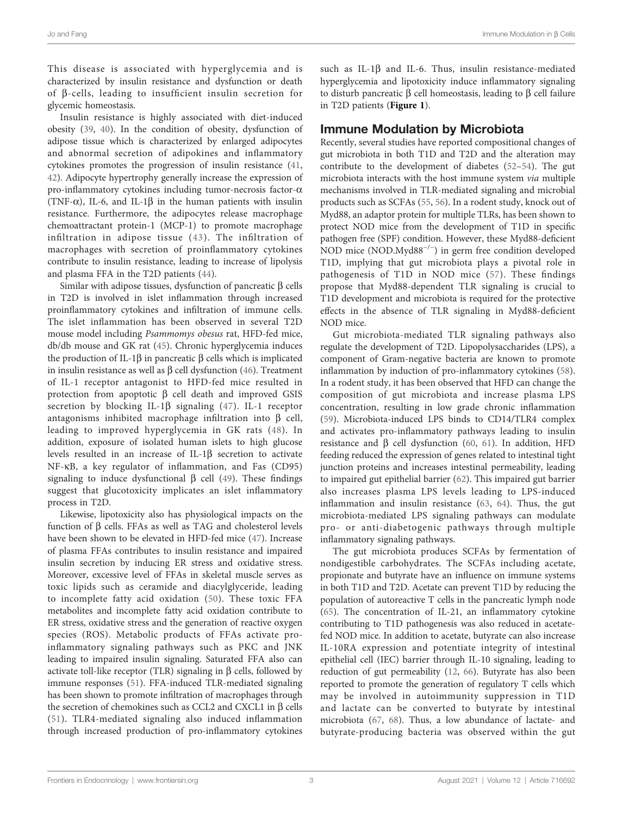This disease is associated with hyperglycemia and is characterized by insulin resistance and dysfunction or death of b-cells, leading to insufficient insulin secretion for glycemic homeostasis.

Insulin resistance is highly associated with diet-induced obesity [\(39](#page-8-0), [40](#page-8-0)). In the condition of obesity, dysfunction of adipose tissue which is characterized by enlarged adipocytes and abnormal secretion of adipokines and inflammatory cytokines promotes the progression of insulin resistance ([41](#page-8-0), [42](#page-8-0)). Adipocyte hypertrophy generally increase the expression of  $pro-inflammatory$  cytokines including tumor-necrosis factor- $\alpha$ (TNF- $\alpha$ ), IL-6, and IL-1 $\beta$  in the human patients with insulin resistance. Furthermore, the adipocytes release macrophage chemoattractant protein-1 (MCP-1) to promote macrophage infiltration in adipose tissue ([43\)](#page-8-0). The infiltration of macrophages with secretion of proinflammatory cytokines contribute to insulin resistance, leading to increase of lipolysis and plasma FFA in the T2D patients ([44\)](#page-8-0).

Similar with adipose tissues, dysfunction of pancreatic  $\beta$  cells in T2D is involved in islet inflammation through increased proinflammatory cytokines and infiltration of immune cells. The islet inflammation has been observed in several T2D mouse model including Psammomys obesus rat, HFD-fed mice, db/db mouse and GK rat ([45](#page-8-0)). Chronic hyperglycemia induces the production of IL-1 $\beta$  in pancreatic  $\beta$  cells which is implicated in insulin resistance as well as  $\beta$  cell dysfunction [\(46\)](#page-8-0). Treatment of IL-1 receptor antagonist to HFD-fed mice resulted in protection from apoptotic  $\beta$  cell death and improved GSIS secretion by blocking IL-1 $\beta$  signaling [\(47\)](#page-8-0). IL-1 receptor antagonisms inhibited macrophage infiltration into  $\beta$  cell, leading to improved hyperglycemia in GK rats [\(48](#page-8-0)). In addition, exposure of isolated human islets to high glucose levels resulted in an increase of IL-1 $\beta$  secretion to activate NF-kB, a key regulator of inflammation, and Fas (CD95) signaling to induce dysfunctional  $\beta$  cell ([49\)](#page-8-0). These findings suggest that glucotoxicity implicates an islet inflammatory process in T2D.

Likewise, lipotoxicity also has physiological impacts on the function of  $\beta$  cells. FFAs as well as TAG and cholesterol levels have been shown to be elevated in HFD-fed mice ([47\)](#page-8-0). Increase of plasma FFAs contributes to insulin resistance and impaired insulin secretion by inducing ER stress and oxidative stress. Moreover, excessive level of FFAs in skeletal muscle serves as toxic lipids such as ceramide and diacylglyceride, leading to incomplete fatty acid oxidation ([50](#page-8-0)). These toxic FFA metabolites and incomplete fatty acid oxidation contribute to ER stress, oxidative stress and the generation of reactive oxygen species (ROS). Metabolic products of FFAs activate proinflammatory signaling pathways such as PKC and JNK leading to impaired insulin signaling. Saturated FFA also can activate toll-like receptor (TLR) signaling in  $\beta$  cells, followed by immune responses [\(51\)](#page-8-0). FFA-induced TLR-mediated signaling has been shown to promote infiltration of macrophages through the secretion of chemokines such as CCL2 and CXCL1 in  $\beta$  cells ([51](#page-8-0)). TLR4-mediated signaling also induced inflammation through increased production of pro-inflammatory cytokines

such as IL-1 $\beta$  and IL-6. Thus, insulin resistance-mediated hyperglycemia and lipotoxicity induce inflammatory signaling to disturb pancreatic  $\beta$  cell homeostasis, leading to  $\beta$  cell failure in T2D patients ([Figure 1](#page-3-0)).

#### Immune Modulation by Microbiota

Recently, several studies have reported compositional changes of gut microbiota in both T1D and T2D and the alteration may contribute to the development of diabetes ([52](#page-8-0)–[54\)](#page-8-0). The gut microbiota interacts with the host immune system via multiple mechanisms involved in TLR-mediated signaling and microbial products such as SCFAs ([55,](#page-8-0) [56](#page-8-0)). In a rodent study, knock out of Myd88, an adaptor protein for multiple TLRs, has been shown to protect NOD mice from the development of T1D in specific pathogen free (SPF) condition. However, these Myd88-deficient NOD mice (NOD.Myd88−/<sup>−</sup> ) in germ free condition developed T1D, implying that gut microbiota plays a pivotal role in pathogenesis of T1D in NOD mice ([57\)](#page-9-0). These findings propose that Myd88-dependent TLR signaling is crucial to T1D development and microbiota is required for the protective effects in the absence of TLR signaling in Myd88-deficient NOD mice.

Gut microbiota-mediated TLR signaling pathways also regulate the development of T2D. Lipopolysaccharides (LPS), a component of Gram-negative bacteria are known to promote inflammation by induction of pro-inflammatory cytokines [\(58\)](#page-9-0). In a rodent study, it has been observed that HFD can change the composition of gut microbiota and increase plasma LPS concentration, resulting in low grade chronic inflammation [\(59\)](#page-9-0). Microbiota-induced LPS binds to CD14/TLR4 complex and activates pro-inflammatory pathways leading to insulin resistance and  $\beta$  cell dysfunction [\(60](#page-9-0), [61](#page-9-0)). In addition, HFD feeding reduced the expression of genes related to intestinal tight junction proteins and increases intestinal permeability, leading to impaired gut epithelial barrier [\(62\)](#page-9-0). This impaired gut barrier also increases plasma LPS levels leading to LPS-induced inflammation and insulin resistance ([63](#page-9-0), [64](#page-9-0)). Thus, the gut microbiota-mediated LPS signaling pathways can modulate pro- or anti-diabetogenic pathways through multiple inflammatory signaling pathways.

The gut microbiota produces SCFAs by fermentation of nondigestible carbohydrates. The SCFAs including acetate, propionate and butyrate have an influence on immune systems in both T1D and T2D. Acetate can prevent T1D by reducing the population of autoreactive T cells in the pancreatic lymph node [\(65\)](#page-9-0). The concentration of IL-21, an inflammatory cytokine contributing to T1D pathogenesis was also reduced in acetatefed NOD mice. In addition to acetate, butyrate can also increase IL-10RA expression and potentiate integrity of intestinal epithelial cell (IEC) barrier through IL-10 signaling, leading to reduction of gut permeability [\(12](#page-7-0), [66](#page-9-0)). Butyrate has also been reported to promote the generation of regulatory T cells which may be involved in autoimmunity suppression in T1D and lactate can be converted to butyrate by intestinal microbiota ([67,](#page-9-0) [68\)](#page-9-0). Thus, a low abundance of lactate- and butyrate-producing bacteria was observed within the gut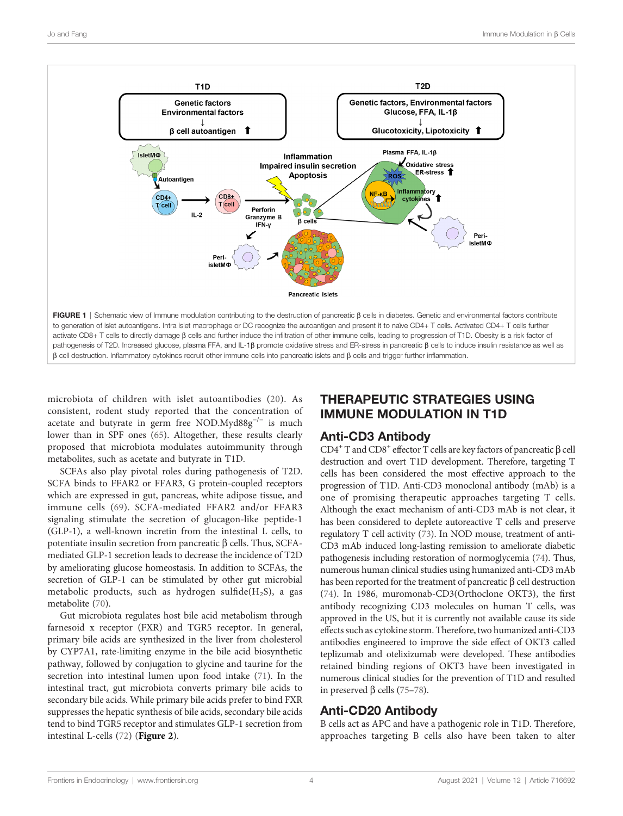<span id="page-3-0"></span>

microbiota of children with islet autoantibodies [\(20\)](#page-8-0). As consistent, rodent study reported that the concentration of acetate and butyrate in germ free NOD.Myd88 $g^{-/-}$  is much lower than in SPF ones [\(65](#page-9-0)). Altogether, these results clearly proposed that microbiota modulates autoimmunity through metabolites, such as acetate and butyrate in T1D.

SCFAs also play pivotal roles during pathogenesis of T2D. SCFA binds to FFAR2 or FFAR3, G protein-coupled receptors which are expressed in gut, pancreas, white adipose tissue, and immune cells ([69](#page-9-0)). SCFA-mediated FFAR2 and/or FFAR3 signaling stimulate the secretion of glucagon-like peptide-1 (GLP-1), a well-known incretin from the intestinal L cells, to potentiate insulin secretion from pancreatic  $\beta$  cells. Thus, SCFAmediated GLP-1 secretion leads to decrease the incidence of T2D by ameliorating glucose homeostasis. In addition to SCFAs, the secretion of GLP-1 can be stimulated by other gut microbial metabolic products, such as hydrogen sulfide( $H_2S$ ), a gas metabolite [\(70](#page-9-0)).

Gut microbiota regulates host bile acid metabolism through farnesoid x receptor (FXR) and TGR5 receptor. In general, primary bile acids are synthesized in the liver from cholesterol by CYP7A1, rate-limiting enzyme in the bile acid biosynthetic pathway, followed by conjugation to glycine and taurine for the secretion into intestinal lumen upon food intake [\(71](#page-9-0)). In the intestinal tract, gut microbiota converts primary bile acids to secondary bile acids. While primary bile acids prefer to bind FXR suppresses the hepatic synthesis of bile acids, secondary bile acids tend to bind TGR5 receptor and stimulates GLP-1 secretion from intestinal L-cells  $(72)$  $(72)$  ([Figure 2](#page-4-0)).

# THERAPEUTIC STRATEGIES USING IMMUNE MODULATION IN T1D

## Anti-CD3 Antibody

 $CD4^+$  T and  $CD8^+$  effector T cells are key factors of pancreatic  $\beta$  cell destruction and overt T1D development. Therefore, targeting T cells has been considered the most effective approach to the progression of T1D. Anti-CD3 monoclonal antibody (mAb) is a one of promising therapeutic approaches targeting T cells. Although the exact mechanism of anti-CD3 mAb is not clear, it has been considered to deplete autoreactive T cells and preserve regulatory T cell activity [\(73\)](#page-9-0). In NOD mouse, treatment of anti-CD3 mAb induced long-lasting remission to ameliorate diabetic pathogenesis including restoration of normoglycemia [\(74\)](#page-9-0). Thus, numerous human clinical studies using humanized anti-CD3 mAb has been reported for the treatment of pancreatic  $\beta$  cell destruction [\(74\)](#page-9-0). In 1986, muromonab-CD3(Orthoclone OKT3), the first antibody recognizing CD3 molecules on human T cells, was approved in the US, but it is currently not available cause its side effects such as cytokine storm. Therefore, two humanized anti-CD3 antibodies engineered to improve the side effect of OKT3 called teplizumab and otelixizumab were developed. These antibodies retained binding regions of OKT3 have been investigated in numerous clinical studies for the prevention of T1D and resulted in preserved  $\beta$  cells [\(75](#page-9-0)–[78\)](#page-9-0).

## Anti-CD20 Antibody

B cells act as APC and have a pathogenic role in T1D. Therefore, approaches targeting B cells also have been taken to alter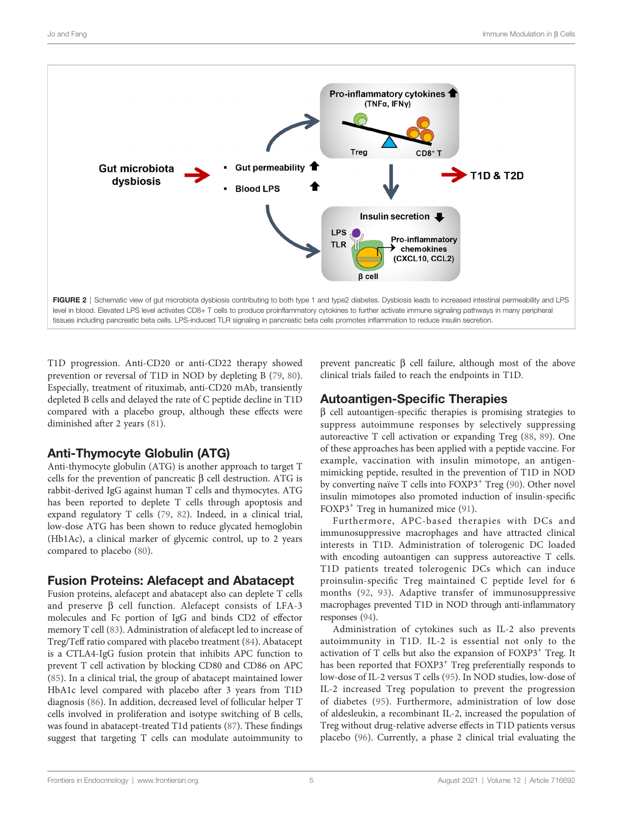<span id="page-4-0"></span>

T1D progression. Anti-CD20 or anti-CD22 therapy showed prevention or reversal of T1D in NOD by depleting B ([79,](#page-9-0) [80\)](#page-9-0). Especially, treatment of rituximab, anti-CD20 mAb, transiently depleted B cells and delayed the rate of C peptide decline in T1D compared with a placebo group, although these effects were diminished after 2 years ([81\)](#page-9-0).

# Anti-Thymocyte Globulin (ATG)

Anti-thymocyte globulin (ATG) is another approach to target T cells for the prevention of pancreatic  $\beta$  cell destruction. ATG is rabbit-derived IgG against human T cells and thymocytes. ATG has been reported to deplete T cells through apoptosis and expand regulatory T cells ([79,](#page-9-0) [82](#page-9-0)). Indeed, in a clinical trial, low-dose ATG has been shown to reduce glycated hemoglobin (Hb1Ac), a clinical marker of glycemic control, up to 2 years compared to placebo ([80\)](#page-9-0).

## Fusion Proteins: Alefacept and Abatacept

Fusion proteins, alefacept and abatacept also can deplete T cells and preserve  $\beta$  cell function. Alefacept consists of LFA-3 molecules and Fc portion of IgG and binds CD2 of effector memory T cell ([83](#page-9-0)). Administration of alefacept led to increase of Treg/Teff ratio compared with placebo treatment [\(84\)](#page-9-0). Abatacept is a CTLA4-IgG fusion protein that inhibits APC function to prevent T cell activation by blocking CD80 and CD86 on APC ([85\)](#page-9-0). In a clinical trial, the group of abatacept maintained lower HbA1c level compared with placebo after 3 years from T1D diagnosis ([86\)](#page-9-0). In addition, decreased level of follicular helper T cells involved in proliferation and isotype switching of B cells, was found in abatacept-treated T1d patients [\(87](#page-9-0)). These findings suggest that targeting T cells can modulate autoimmunity to

prevent pancreatic  $\beta$  cell failure, although most of the above clinical trials failed to reach the endpoints in T1D.

# Autoantigen-Specific Therapies

 $\beta$  cell autoantigen-specific therapies is promising strategies to suppress autoimmune responses by selectively suppressing autoreactive T cell activation or expanding Treg [\(88](#page-9-0), [89\)](#page-9-0). One of these approaches has been applied with a peptide vaccine. For example, vaccination with insulin mimotope, an antigenmimicking peptide, resulted in the prevention of T1D in NOD by converting naïve T cells into FOXP3<sup>+</sup> Treg [\(90](#page-9-0)). Other novel insulin mimotopes also promoted induction of insulin-specific FOXP3<sup>+</sup> Treg in humanized mice [\(91\)](#page-9-0).

Furthermore, APC-based therapies with DCs and immunosuppressive macrophages and have attracted clinical interests in T1D. Administration of tolerogenic DC loaded with encoding autoantigen can suppress autoreactive T cells. T1D patients treated tolerogenic DCs which can induce proinsulin-specific Treg maintained C peptide level for 6 months ([92](#page-9-0), [93\)](#page-9-0). Adaptive transfer of immunosuppressive macrophages prevented T1D in NOD through anti-inflammatory responses [\(94](#page-10-0)).

Administration of cytokines such as IL-2 also prevents autoimmunity in T1D. IL-2 is essential not only to the activation of T cells but also the expansion of FOXP3<sup>+</sup> Treg. It has been reported that FOXP3<sup>+</sup> Treg preferentially responds to low-dose of IL-2 versus T cells ([95\)](#page-10-0). In NOD studies, low-dose of IL-2 increased Treg population to prevent the progression of diabetes [\(95\)](#page-10-0). Furthermore, administration of low dose of aldesleukin, a recombinant IL-2, increased the population of Treg without drug-relative adverse effects in T1D patients versus placebo [\(96](#page-10-0)). Currently, a phase 2 clinical trial evaluating the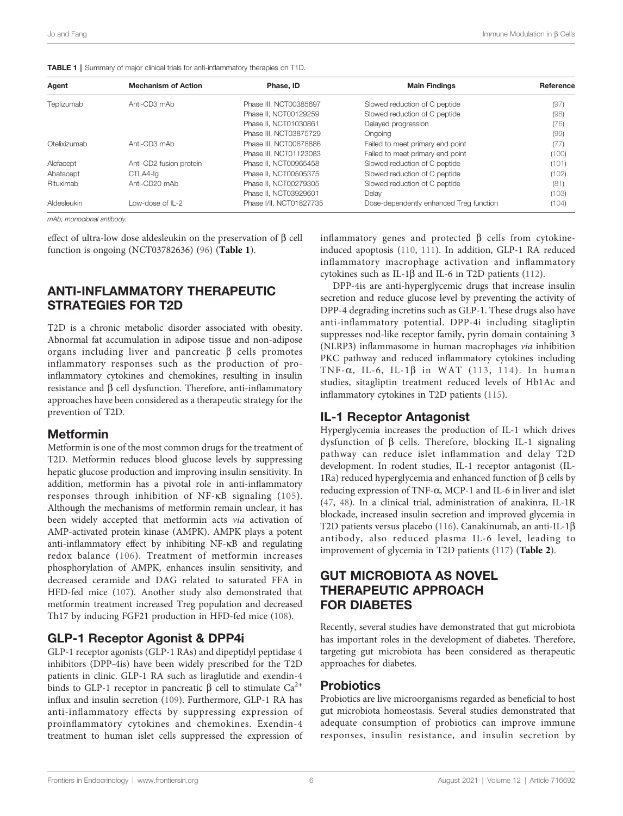| Agent        | <b>Mechanism of Action</b> | Phase, ID               | <b>Main Findings</b>                    | Reference |
|--------------|----------------------------|-------------------------|-----------------------------------------|-----------|
| Teplizumab   | Anti-CD3 mAb               | Phase III, NCT00385697  | Slowed reduction of C peptide           | (97)      |
|              |                            | Phase II. NCT00129259   | Slowed reduction of C peptide           | (98)      |
|              |                            | Phase II, NCT01030861   | Delayed progression                     | (76)      |
|              |                            | Phase III. NCT03875729  | Ongoing                                 | (99)      |
| Otelixizumab | Anti-CD3 mAb               | Phase III, NCT00678886  | Failed to meet primary end point        | (77)      |
|              |                            | Phase III, NCT01123083  | Failed to meet primary end point        | (100)     |
| Alefacept    | Anti-CD2 fusion protein    | Phase II. NCT00965458   | Slowed reduction of C peptide           | (101)     |
| Abatacept    | CTLA4-la                   | Phase II. NCT00505375   | Slowed reduction of C peptide           | (102)     |
| Rituximab    | Anti-CD20 mAb              | Phase II. NCT00279305   | Slowed reduction of C peptide           | (81)      |
|              |                            | Phase II. NCT03929601   | Delay                                   | (103)     |
| Aldesleukin  | Low-dose of IL-2           | Phase I/II, NCT01827735 | Dose-dependently enhanced Treg function | (104)     |

|  |  |  |  |  |  |  |  | TABLE 1   Summary of major clinical trials for anti-inflammatory therapies on T1D. |  |  |  |
|--|--|--|--|--|--|--|--|------------------------------------------------------------------------------------|--|--|--|
|--|--|--|--|--|--|--|--|------------------------------------------------------------------------------------|--|--|--|

mAb, monoclonal antibody.

effect of ultra-low dose aldesleukin on the preservation of  $\beta$  cell function is ongoing (NCT03782636) [\(96](#page-10-0)) (Table 1).

#### ANTI-INFLAMMATORY THERAPEUTIC STRATEGIES FOR T2D

T2D is a chronic metabolic disorder associated with obesity. Abnormal fat accumulation in adipose tissue and non-adipose organs including liver and pancreatic  $\beta$  cells promotes inflammatory responses such as the production of proinflammatory cytokines and chemokines, resulting in insulin  $resistance$  and  $\beta$  cell dysfunction. Therefore, anti-inflammatory approaches have been considered as a therapeutic strategy for the prevention of T2D.

#### Metformin

Metformin is one of the most common drugs for the treatment of T2D. Metformin reduces blood glucose levels by suppressing hepatic glucose production and improving insulin sensitivity. In addition, metformin has a pivotal role in anti-inflammatory responses through inhibition of NF-kB signaling ([105](#page-10-0)). Although the mechanisms of metformin remain unclear, it has been widely accepted that metformin acts via activation of AMP-activated protein kinase (AMPK). AMPK plays a potent anti-inflammatory effect by inhibiting NF-kB and regulating redox balance ([106\)](#page-10-0). Treatment of metformin increases phosphorylation of AMPK, enhances insulin sensitivity, and decreased ceramide and DAG related to saturated FFA in HFD-fed mice ([107\)](#page-10-0). Another study also demonstrated that metformin treatment increased Treg population and decreased Th17 by inducing FGF21 production in HFD-fed mice ([108](#page-10-0)).

## GLP-1 Receptor Agonist & DPP4i

GLP-1 receptor agonists (GLP-1 RAs) and dipeptidyl peptidase 4 inhibitors (DPP-4is) have been widely prescribed for the T2D patients in clinic. GLP-1 RA such as liraglutide and exendin-4 binds to GLP-1 receptor in pancreatic  $\beta$  cell to stimulate  $Ca^{2+}$ influx and insulin secretion [\(109\)](#page-10-0). Furthermore, GLP-1 RA has anti-inflammatory effects by suppressing expression of proinflammatory cytokines and chemokines. Exendin-4 treatment to human islet cells suppressed the expression of

inflammatory genes and protected  $\beta$  cells from cytokineinduced apoptosis [\(110,](#page-10-0) [111](#page-10-0)). In addition, GLP-1 RA reduced inflammatory macrophage activation and inflammatory cytokines such as IL-1 $\beta$  and IL-6 in T2D patients [\(112\)](#page-10-0).

DPP-4is are anti-hyperglycemic drugs that increase insulin secretion and reduce glucose level by preventing the activity of DPP-4 degrading incretins such as GLP-1. These drugs also have anti-inflammatory potential. DPP-4i including sitagliptin suppresses nod-like receptor family, pyrin domain containing 3 (NLRP3) inflammasome in human macrophages via inhibition PKC pathway and reduced inflammatory cytokines including TNF- $\alpha$ , IL-6, IL-1 $\beta$  in WAT ([113,](#page-10-0) [114](#page-10-0)). In human studies, sitagliptin treatment reduced levels of Hb1Ac and inflammatory cytokines in T2D patients ([115\)](#page-10-0).

## IL-1 Receptor Antagonist

Hyperglycemia increases the production of IL-1 which drives dysfunction of  $\beta$  cells. Therefore, blocking IL-1 signaling pathway can reduce islet inflammation and delay T2D development. In rodent studies, IL-1 receptor antagonist (IL-1Ra) reduced hyperglycemia and enhanced function of  $\beta$  cells by reducing expression of TNF-a, MCP-1 and IL-6 in liver and islet [\(47,](#page-8-0) [48\)](#page-8-0). In a clinical trial, administration of anakinra, IL-1R blockade, increased insulin secretion and improved glycemia in T2D patients versus placebo [\(116\)](#page-10-0). Canakinumab, an anti-IL-1 $\beta$ antibody, also reduced plasma IL-6 level, leading to improvement of glycemia in T2D patients ([117](#page-10-0)) ([Table 2](#page-6-0)).

# GUT MICROBIOTA AS NOVEL THERAPEUTIC APPROACH FOR DIABETES

Recently, several studies have demonstrated that gut microbiota has important roles in the development of diabetes. Therefore, targeting gut microbiota has been considered as therapeutic approaches for diabetes.

#### **Probiotics**

Probiotics are live microorganisms regarded as beneficial to host gut microbiota homeostasis. Several studies demonstrated that adequate consumption of probiotics can improve immune responses, insulin resistance, and insulin secretion by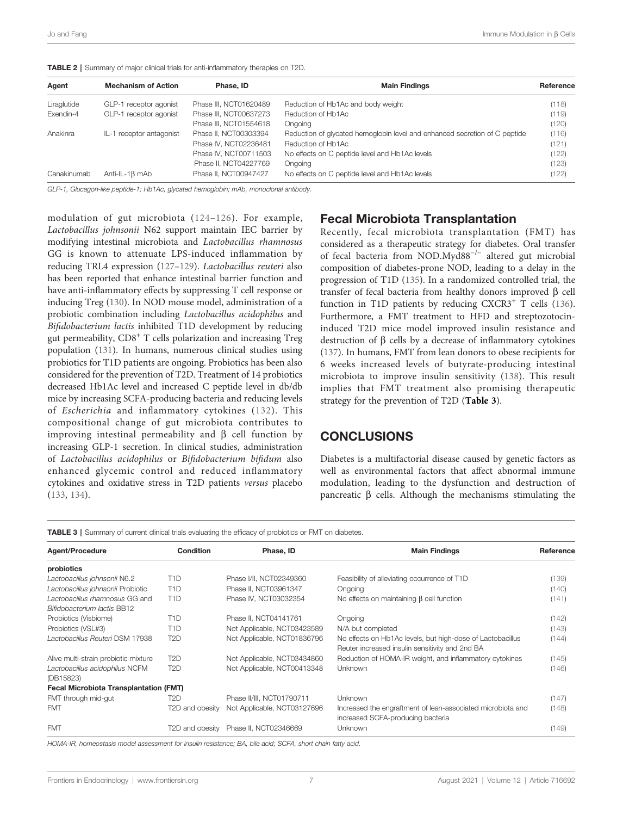| Agent       | <b>Mechanism of Action</b> | Phase, ID              | <b>Main Findings</b>                                                       | Reference |
|-------------|----------------------------|------------------------|----------------------------------------------------------------------------|-----------|
| Liraglutide | GLP-1 receptor agonist     | Phase III, NCT01620489 | Reduction of Hb1Ac and body weight                                         | (118)     |
| Exendin-4   | GLP-1 receptor agonist     | Phase III, NCT00637273 | Reduction of Hb1Ac                                                         | (119)     |
|             |                            | Phase III, NCT01554618 | Ongoing                                                                    | (120)     |
| Anakinra    | IL-1 receptor antagonist   | Phase II. NCT00303394  | Reduction of glycated hemoglobin level and enhanced secretion of C peptide | (116)     |
|             |                            | Phase IV. NCT02236481  | Reduction of Hb1Ac                                                         | (121)     |
|             |                            | Phase IV, NCT00711503  | No effects on C peptide level and Hb1Ac levels                             | (122)     |
|             |                            | Phase II, NCT04227769  | Ongoing                                                                    | (123)     |
| Canakinumab | Anti-IL-1 $\beta$ mAb      | Phase II. NCT00947427  | No effects on C peptide level and Hb1Ac levels                             | (122)     |

<span id="page-6-0"></span>TABLE 2 | Summary of major clinical trials for anti-inflammatory therapies on T2D.

GLP-1, Glucagon-like peptide-1; Hb1Ac, glycated hemoglobin; mAb, monoclonal antibody.

modulation of gut microbiota ([124](#page-10-0)–[126](#page-10-0)). For example, Lactobacillus johnsonii N62 support maintain IEC barrier by modifying intestinal microbiota and Lactobacillus rhamnosus GG is known to attenuate LPS-induced inflammation by reducing TRL4 expression [\(127](#page-10-0)–[129](#page-11-0)). Lactobacillus reuteri also has been reported that enhance intestinal barrier function and have anti-inflammatory effects by suppressing T cell response or inducing Treg ([130](#page-11-0)). In NOD mouse model, administration of a probiotic combination including Lactobacillus acidophilus and Bifidobacterium lactis inhibited T1D development by reducing gut permeability, CD8<sup>+</sup> T cells polarization and increasing Treg population ([131\)](#page-11-0). In humans, numerous clinical studies using probiotics for T1D patients are ongoing. Probiotics has been also considered for the prevention of T2D. Treatment of 14 probiotics decreased Hb1Ac level and increased C peptide level in db/db mice by increasing SCFA-producing bacteria and reducing levels of Escherichia and inflammatory cytokines ([132](#page-11-0)). This compositional change of gut microbiota contributes to improving intestinal permeability and  $\beta$  cell function by increasing GLP-1 secretion. In clinical studies, administration of Lactobacillus acidophilus or Bifidobacterium bifidum also enhanced glycemic control and reduced inflammatory cytokines and oxidative stress in T2D patients versus placebo ([133](#page-11-0), [134\)](#page-11-0).

#### Fecal Microbiota Transplantation

Recently, fecal microbiota transplantation (FMT) has considered as a therapeutic strategy for diabetes. Oral transfer of fecal bacteria from NOD.Myd88−/<sup>−</sup> altered gut microbial composition of diabetes-prone NOD, leading to a delay in the progression of T1D [\(135\)](#page-11-0). In a randomized controlled trial, the transfer of fecal bacteria from healthy donors improved  $\beta$  cell function in T1D patients by reducing  $CXCR3<sup>+</sup>$  T cells ([136\)](#page-11-0). Furthermore, a FMT treatment to HFD and streptozotocininduced T2D mice model improved insulin resistance and destruction of  $\beta$  cells by a decrease of inflammatory cytokines [\(137](#page-11-0)). In humans, FMT from lean donors to obese recipients for 6 weeks increased levels of butyrate-producing intestinal microbiota to improve insulin sensitivity ([138\)](#page-11-0). This result implies that FMT treatment also promising therapeutic strategy for the prevention of T2D (Table 3).

#### **CONCLUSIONS**

Diabetes is a multifactorial disease caused by genetic factors as well as environmental factors that affect abnormal immune modulation, leading to the dysfunction and destruction of pancreatic  $\beta$  cells. Although the mechanisms stimulating the

TABLE 3 | Summary of current clinical trials evaluating the efficacy of probiotics or FMT on diabetes.

| Agent/Procedure                               | Condition        | Phase, ID                   | <b>Main Findings</b>                                        | Reference |
|-----------------------------------------------|------------------|-----------------------------|-------------------------------------------------------------|-----------|
| probiotics                                    |                  |                             |                                                             |           |
| Lactobacillus johnsonii N6.2                  | T1D              | Phase I/II, NCT02349360     | Feasibility of alleviating occurrence of T1D                | (139)     |
| Lactobacillus johnsonii Probiotic             | T <sub>1</sub> D | Phase II, NCT03961347       | Ongoing                                                     | (140)     |
| Lactobacillus rhamnosus GG and                | T <sub>1</sub> D | Phase IV. NCT03032354       | No effects on maintaining $\beta$ cell function             | (141)     |
| Bifidobacterium lactis BB12                   |                  |                             |                                                             |           |
| Probiotics (Visbiome)                         | T <sub>1</sub> D | Phase II, NCT04141761       | Ongoing                                                     | (142)     |
| Probiotics (VSL#3)                            | T <sub>1</sub> D | Not Applicable, NCT03423589 | N/A but completed                                           | (143)     |
| Lactobacillus Reuteri DSM 17938               | T <sub>2</sub> D | Not Applicable, NCT01836796 | No effects on Hb1Ac levels, but high-dose of Lactobacillus  | (144)     |
|                                               |                  |                             | Reuter increased insulin sensitivity and 2nd BA             |           |
| Alive multi-strain probiotic mixture          | T <sub>2</sub> D | Not Applicable, NCT03434860 | Reduction of HOMA-IR weight, and inflammatory cytokines     | (145)     |
| Lactobacillus acidophilus NCFM                | T2D              | Not Applicable, NCT00413348 | Unknown                                                     | (146)     |
| (DB15823)                                     |                  |                             |                                                             |           |
| <b>Fecal Microbiota Transplantation (FMT)</b> |                  |                             |                                                             |           |
| FMT through mid-gut                           | T2D              | Phase II/III, NCT01790711   | Unknown                                                     | (147)     |
| <b>FMT</b>                                    | T2D and obesity  | Not Applicable, NCT03127696 | Increased the engraftment of lean-associated microbiota and | (148)     |
|                                               |                  |                             | increased SCFA-producing bacteria                           |           |
| <b>FMT</b>                                    | T2D and obesity  | Phase II, NCT02346669       | <b>Unknown</b>                                              | (149)     |

HOMA-IR, homeostasis model assessment for insulin resistance; BA, bile acid; SCFA, short chain fatty acid.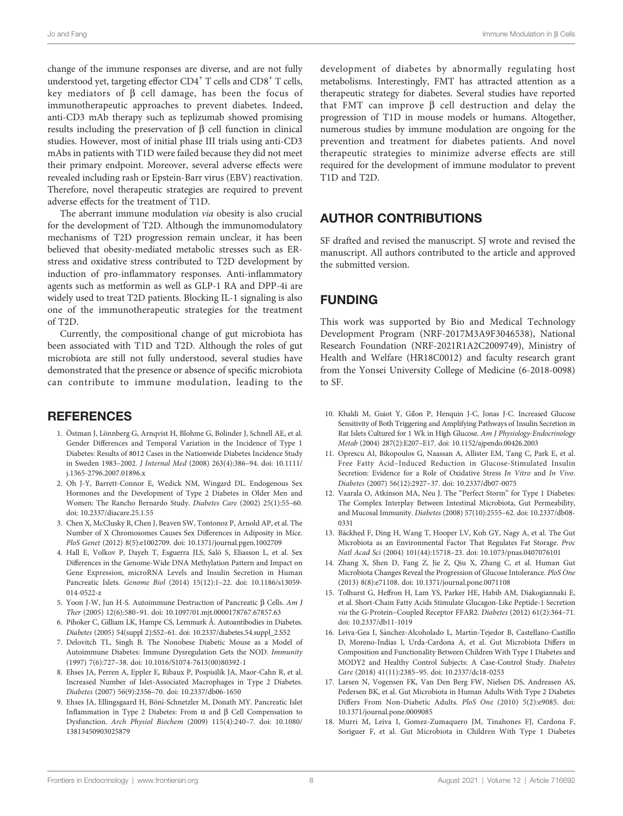<span id="page-7-0"></span>change of the immune responses are diverse, and are not fully understood yet, targeting effector  $CD4^+$  T cells and  $CD8^+$  T cells, key mediators of  $\beta$  cell damage, has been the focus of immunotherapeutic approaches to prevent diabetes. Indeed, anti-CD3 mAb therapy such as teplizumab showed promising results including the preservation of  $\beta$  cell function in clinical studies. However, most of initial phase III trials using anti-CD3 mAbs in patients with T1D were failed because they did not meet their primary endpoint. Moreover, several adverse effects were revealed including rash or Epstein-Barr virus (EBV) reactivation. Therefore, novel therapeutic strategies are required to prevent adverse effects for the treatment of T1D.

The aberrant immune modulation via obesity is also crucial for the development of T2D. Although the immunomodulatory mechanisms of T2D progression remain unclear, it has been believed that obesity-mediated metabolic stresses such as ERstress and oxidative stress contributed to T2D development by induction of pro-inflammatory responses. Anti-inflammatory agents such as metformin as well as GLP-1 RA and DPP-4i are widely used to treat T2D patients. Blocking IL-1 signaling is also one of the immunotherapeutic strategies for the treatment of T2D.

Currently, the compositional change of gut microbiota has been associated with T1D and T2D. Although the roles of gut microbiota are still not fully understood, several studies have demonstrated that the presence or absence of specific microbiota can contribute to immune modulation, leading to the

## **REFERENCES**

- 1. Östman J, Lönnberg G, Arnqvist H, Blohme G, Bolinder J, Schnell AE, et al. Gender Differences and Temporal Variation in the Incidence of Type 1 Diabetes: Results of 8012 Cases in the Nationwide Diabetes Incidence Study in Sweden 1983–2002. J Internal Med (2008) 263(4):386–94. doi: [10.1111/](https://doi.org/10.1111/j.1365-2796.2007.01896.x) [j.1365-2796.2007.01896.x](https://doi.org/10.1111/j.1365-2796.2007.01896.x)
- 2. Oh J-Y, Barrett-Connor E, Wedick NM, Wingard DL. Endogenous Sex Hormones and the Development of Type 2 Diabetes in Older Men and Women: The Rancho Bernardo Study. Diabetes Care (2002) 25(1):55–60. doi: [10.2337/diacare.25.1.55](https://doi.org/10.2337/diacare.25.1.55)
- 3. Chen X, McClusky R, Chen J, Beaven SW, Tontonoz P, Arnold AP, et al. The Number of X Chromosomes Causes Sex Differences in Adiposity in Mice. PloS Genet (2012) 8(5):e1002709. doi: [10.1371/journal.pgen.1002709](https://doi.org/10.1371/journal.pgen.1002709)
- 4. Hall E, Volkov P, Dayeh T, Esguerra JLS, Salö S, Eliasson L, et al. Sex Differences in the Genome-Wide DNA Methylation Pattern and Impact on Gene Expression, microRNA Levels and Insulin Secretion in Human Pancreatic Islets. Genome Biol (2014) 15(12):1–22. doi: [10.1186/s13059-](https://doi.org/10.1186/s13059-014-0522-z) [014-0522-z](https://doi.org/10.1186/s13059-014-0522-z)
- 5. Yoon J-W, Jun H-S. Autoimmune Destruction of Pancreatic  $\beta$  Cells. Am J Ther (2005) 12(6):580–91. doi: [10.1097/01.mjt.0000178767.67857.63](https://doi.org/10.1097/01.mjt.0000178767.67857.63)
- 6. Pihoker C, Gilliam LK, Hampe CS, Lernmark Å. Autoantibodies in Diabetes. Diabetes (2005) 54(suppl 2):S52–61. doi: [10.2337/diabetes.54.suppl\\_2.S52](https://doi.org/10.2337/diabetes.54.suppl_2.S52)
- 7. Delovitch TL, Singh B. The Nonobese Diabetic Mouse as a Model of Autoimmune Diabetes: Immune Dysregulation Gets the NOD. Immunity (1997) 7(6):727–38. doi: [10.1016/S1074-7613\(00\)80392-1](https://doi.org/10.1016/S1074-7613(00)80392-1)
- 8. Ehses JA, Perren A, Eppler E, Ribaux P, Pospisilik JA, Maor-Cahn R, et al. Increased Number of Islet-Associated Macrophages in Type 2 Diabetes. Diabetes (2007) 56(9):2356–70. doi: [10.2337/db06-1650](https://doi.org/10.2337/db06-1650)
- 9. Ehses JA, Ellingsgaard H, Böni-Schnetzler M, Donath MY. Pancreatic Islet Inflammation in Type 2 Diabetes: From  $\alpha$  and  $\beta$  Cell Compensation to Dysfunction. Arch Physiol Biochem (2009) 115(4):240–7. doi: [10.1080/](https://doi.org/10.1080/13813450903025879) [13813450903025879](https://doi.org/10.1080/13813450903025879)

development of diabetes by abnormally regulating host metabolisms. Interestingly, FMT has attracted attention as a therapeutic strategy for diabetes. Several studies have reported that FMT can improve  $\beta$  cell destruction and delay the progression of T1D in mouse models or humans. Altogether, numerous studies by immune modulation are ongoing for the prevention and treatment for diabetes patients. And novel therapeutic strategies to minimize adverse effects are still required for the development of immune modulator to prevent T1D and T2D.

# AUTHOR CONTRIBUTIONS

SF drafted and revised the manuscript. SJ wrote and revised the manuscript. All authors contributed to the article and approved the submitted version.

## FUNDING

This work was supported by Bio and Medical Technology Development Program (NRF-2017M3A9F3046538), National Research Foundation (NRF-2021R1A2C2009749), Ministry of Health and Welfare (HR18C0012) and faculty research grant from the Yonsei University College of Medicine (6-2018-0098) to SF.

- 10. Khaldi M, Guiot Y, Gilon P, Henquin J-C, Jonas J-C. Increased Glucose Sensitivity of Both Triggering and Amplifying Pathways of Insulin Secretion in Rat Islets Cultured for 1 Wk in High Glucose. Am J Physiology-Endocrinology Metab (2004) 287(2):E207–E17. doi: [10.1152/ajpendo.00426.2003](https://doi.org/10.1152/ajpendo.00426.2003)
- 11. Oprescu AI, Bikopoulos G, Naassan A, Allister EM, Tang C, Park E, et al. Free Fatty Acid–Induced Reduction in Glucose-Stimulated Insulin Secretion: Evidence for a Role of Oxidative Stress In Vitro and In Vivo. Diabetes (2007) 56(12):2927–37. doi: [10.2337/db07-0075](https://doi.org/10.2337/db07-0075)
- 12. Vaarala O, Atkinson MA, Neu J. The "Perfect Storm" for Type 1 Diabetes: The Complex Interplay Between Intestinal Microbiota, Gut Permeability, and Mucosal Immunity. Diabetes (2008) 57(10):2555–62. doi: [10.2337/db08-](https://doi.org/10.2337/db08-0331) [0331](https://doi.org/10.2337/db08-0331)
- 13. Bäckhed F, Ding H, Wang T, Hooper LV, Koh GY, Nagy A, et al. The Gut Microbiota as an Environmental Factor That Regulates Fat Storage. Proc Natl Acad Sci (2004) 101(44):15718–23. doi: [10.1073/pnas.0407076101](https://doi.org/10.1073/pnas.0407076101)
- 14. Zhang X, Shen D, Fang Z, Jie Z, Qiu X, Zhang C, et al. Human Gut Microbiota Changes Reveal the Progression of Glucose Intolerance. PloS One (2013) 8(8):e71108. doi: [10.1371/journal.pone.0071108](https://doi.org/10.1371/journal.pone.0071108)
- 15. Tolhurst G, Heffron H, Lam YS, Parker HE, Habib AM, Diakogiannaki E, et al. Short-Chain Fatty Acids Stimulate Glucagon-Like Peptide-1 Secretion via the G-Protein–Coupled Receptor FFAR2. Diabetes (2012) 61(2):364–71. doi: [10.2337/db11-1019](https://doi.org/10.2337/db11-1019)
- 16. Leiva-Gea I, Sánchez-Alcoholado L, Martín-Tejedor B, Castellano-Castillo D, Moreno-Indias I, Urda-Cardona A, et al. Gut Microbiota Differs in Composition and Functionality Between Children With Type 1 Diabetes and MODY2 and Healthy Control Subjects: A Case-Control Study. Diabetes Care (2018) 41(11):2385–95. doi: [10.2337/dc18-0253](https://doi.org/10.2337/dc18-0253)
- 17. Larsen N, Vogensen FK, Van Den Berg FW, Nielsen DS, Andreasen AS, Pedersen BK, et al. Gut Microbiota in Human Adults With Type 2 Diabetes Differs From Non-Diabetic Adults. PloS One (2010) 5(2):e9085. doi: [10.1371/journal.pone.0009085](https://doi.org/10.1371/journal.pone.0009085)
- 18. Murri M, Leiva I, Gomez-Zumaquero JM, Tinahones FJ, Cardona F, Soriguer F, et al. Gut Microbiota in Children With Type 1 Diabetes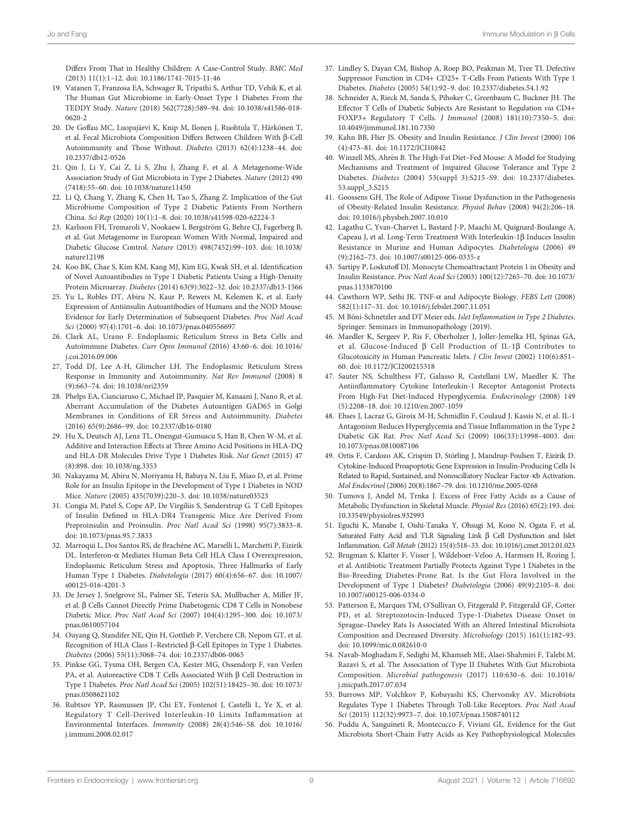<span id="page-8-0"></span>Differs From That in Healthy Children: A Case-Control Study. BMC Med (2013) 11(1):1–12. doi: [10.1186/1741-7015-11-46](https://doi.org/10.1186/1741-7015-11-46)

- 19. Vatanen T, Franzosa EA, Schwager R, Tripathi S, Arthur TD, Vehik K, et al. The Human Gut Microbiome in Early-Onset Type 1 Diabetes From the TEDDY Study. Nature (2018) 562(7728):589–94. doi: [10.1038/s41586-018-](https://doi.org/10.1038/s41586-018-0620-2) [0620-2](https://doi.org/10.1038/s41586-018-0620-2)
- 20. De Goffau MC, Luopajärvi K, Knip M, Ilonen J, Ruohtula T, Härkönen T, et al. Fecal Microbiota Composition Differs Between Children With β-Cell Autoimmunity and Those Without. Diabetes (2013) 62(4):1238–44. doi: [10.2337/db12-0526](https://doi.org/10.2337/db12-0526)
- 21. Qin J, Li Y, Cai Z, Li S, Zhu J, Zhang F, et al. A Metagenome-Wide Association Study of Gut Microbiota in Type 2 Diabetes. Nature (2012) 490 (7418):55–60. doi: [10.1038/nature11450](https://doi.org/10.1038/nature11450)
- 22. Li Q, Chang Y, Zhang K, Chen H, Tao S, Zhang Z. Implication of the Gut Microbiome Composition of Type 2 Diabetic Patients From Northern China. Sci Rep (2020) 10(1):1–8. doi: [10.1038/s41598-020-62224-3](https://doi.org/10.1038/s41598-020-62224-3)
- 23. Karlsson FH, Tremaroli V, Nookaew I, Bergström G, Behre CJ, Fagerberg B, et al. Gut Metagenome in European Women With Normal, Impaired and Diabetic Glucose Control. Nature (2013) 498(7452):99–103. doi: [10.1038/](https://doi.org/10.1038/nature12198) [nature12198](https://doi.org/10.1038/nature12198)
- 24. Koo BK, Chae S, Kim KM, Kang MJ, Kim EG, Kwak SH, et al. Identification of Novel Autoantibodies in Type 1 Diabetic Patients Using a High-Density Protein Microarray. Diabetes (2014) 63(9):3022–32. doi: [10.2337/db13-1566](https://doi.org/10.2337/db13-1566)
- 25. Yu L, Robles DT, Abiru N, Kaur P, Rewers M, Kelemen K, et al. Early Expression of Antiinsulin Autoantibodies of Humans and the NOD Mouse: Evidence for Early Determination of Subsequent Diabetes. Proc Natl Acad Sci (2000) 97(4):1701–6. doi: [10.1073/pnas.040556697](https://doi.org/10.1073/pnas.040556697)
- 26. Clark AL, Urano F. Endoplasmic Reticulum Stress in Beta Cells and Autoimmune Diabetes. Curr Opin Immunol (2016) 43:60–6. doi: [10.1016/](https://doi.org/10.1016/j.coi.2016.09.006) [j.coi.2016.09.006](https://doi.org/10.1016/j.coi.2016.09.006)
- 27. Todd DJ, Lee A-H, Glimcher LH. The Endoplasmic Reticulum Stress Response in Immunity and Autoimmunity. Nat Rev Immunol (2008) 8 (9):663–74. doi: [10.1038/nri2359](https://doi.org/10.1038/nri2359)
- 28. Phelps EA, Cianciaruso C, Michael IP, Pasquier M, Kanaani J, Nano R, et al. Aberrant Accumulation of the Diabetes Autoantigen GAD65 in Golgi Membranes in Conditions of ER Stress and Autoimmunity. Diabetes (2016) 65(9):2686–99. doi: [10.2337/db16-0180](https://doi.org/10.2337/db16-0180)
- 29. Hu X, Deutsch AJ, Lenz TL, Onengut-Gumuscu S, Han B, Chen W-M, et al. Additive and Interaction Effects at Three Amino Acid Positions in HLA-DQ and HLA-DR Molecules Drive Type 1 Diabetes Risk. Nat Genet (2015) 47 (8):898. doi: [10.1038/ng.3353](https://doi.org/10.1038/ng.3353)
- 30. Nakayama M, Abiru N, Moriyama H, Babaya N, Liu E, Miao D, et al. Prime Role for an Insulin Epitope in the Development of Type 1 Diabetes in NOD Mice. Nature (2005) 435(7039):220–3. doi: [10.1038/nature03523](https://doi.org/10.1038/nature03523)
- 31. Congia M, Patel S, Cope AP, De Virgiliis S, Sønderstrup G. T Cell Epitopes of Insulin Defined in HLA-DR4 Transgenic Mice Are Derived From Preproinsulin and Proinsulin. Proc Natl Acad Sci (1998) 95(7):3833–8. doi: [10.1073/pnas.95.7.3833](https://doi.org/10.1073/pnas.95.7.3833)
- 32. Marroqui L, Dos Santos RS, de Brachène AC, Marselli L, Marchetti P, Eizirik DL. Interferon-a Mediates Human Beta Cell HLA Class I Overexpression, Endoplasmic Reticulum Stress and Apoptosis, Three Hallmarks of Early Human Type 1 Diabetes. Diabetologia (2017) 60(4):656–67. doi: [10.1007/](https://doi.org/10.1007/s00125-016-4201-3) [s00125-016-4201-3](https://doi.org/10.1007/s00125-016-4201-3)
- 33. De Jersey J, Snelgrove SL, Palmer SE, Teteris SA, Mullbacher A, Miller JF, et al. β Cells Cannot Directly Prime Diabetogenic CD8 T Cells in Nonobese Diabetic Mice. Proc Natl Acad Sci (2007) 104(4):1295–300. doi: [10.1073/](https://doi.org/10.1073/pnas.0610057104) [pnas.0610057104](https://doi.org/10.1073/pnas.0610057104)
- 34. Ouyang Q, Standifer NE, Qin H, Gottlieb P, Verchere CB, Nepom GT, et al. Recognition of HLA Class I–Restricted β-Cell Epitopes in Type 1 Diabetes. Diabetes (2006) 55(11):3068–74. doi: [10.2337/db06-0065](https://doi.org/10.2337/db06-0065)
- 35. Pinkse GG, Tysma OH, Bergen CA, Kester MG, Ossendorp F, van Veelen PA, et al. Autoreactive CD8 T Cells Associated With  $\beta$  Cell Destruction in Type 1 Diabetes. Proc Natl Acad Sci (2005) 102(51):18425–30. doi: [10.1073/](https://doi.org/10.1073/pnas.0508621102) [pnas.0508621102](https://doi.org/10.1073/pnas.0508621102)
- 36. Rubtsov YP, Rasmussen JP, Chi EY, Fontenot J, Castelli L, Ye X, et al. Regulatory T Cell-Derived Interleukin-10 Limits Inflammation at Environmental Interfaces. Immunity (2008) 28(4):546–58. doi: [10.1016/](https://doi.org/10.1016/j.immuni.2008.02.017) [j.immuni.2008.02.017](https://doi.org/10.1016/j.immuni.2008.02.017)
- 37. Lindley S, Dayan CM, Bishop A, Roep BO, Peakman M, Tree TI. Defective Suppressor Function in CD4+ CD25+ T-Cells From Patients With Type 1 Diabetes. Diabetes (2005) 54(1):92–9. doi: [10.2337/diabetes.54.1.92](https://doi.org/10.2337/diabetes.54.1.92)
- 38. Schneider A, Rieck M, Sanda S, Pihoker C, Greenbaum C, Buckner JH. The Effector T Cells of Diabetic Subjects Are Resistant to Regulation via CD4+ FOXP3+ Regulatory T Cells. J Immunol (2008) 181(10):7350–5. doi: [10.4049/jimmunol.181.10.7350](https://doi.org/10.4049/jimmunol.181.10.7350)
- 39. Kahn BB, Flier JS. Obesity and Insulin Resistance. J Clin Invest (2000) 106 (4):473–81. doi: [10.1172/JCI10842](https://doi.org/10.1172/JCI10842)
- 40. Winzell MS, Ahrén B. The High-Fat Diet–Fed Mouse: A Model for Studying Mechanisms and Treatment of Impaired Glucose Tolerance and Type 2 Diabetes. Diabetes (2004) 53(suppl 3):S215–S9. doi: [10.2337/diabetes.](https://doi.org/10.2337/diabetes.53.suppl_3.S215) [53.suppl\\_3.S215](https://doi.org/10.2337/diabetes.53.suppl_3.S215)
- 41. Goossens GH. The Role of Adipose Tissue Dysfunction in the Pathogenesis of Obesity-Related Insulin Resistance. Physiol Behav (2008) 94(2):206–18. doi: [10.1016/j.physbeh.2007.10.010](https://doi.org/10.1016/j.physbeh.2007.10.010)
- 42. Lagathu C, Yvan-Charvet L, Bastard J-P, Maachi M, Quignard-Boulange A, Capeau J, et al. Long-Term Treatment With Interleukin-1 $\beta$  Induces Insulin Resistance in Murine and Human Adipocytes. Diabetologia (2006) 49 (9):2162–73. doi: [10.1007/s00125-006-0335-z](https://doi.org/10.1007/s00125-006-0335-z)
- 43. Sartipy P, Loskutoff DJ. Monocyte Chemoattractant Protein 1 in Obesity and Insulin Resistance. Proc Natl Acad Sci (2003) 100(12):7265–70. doi: [10.1073/](https://doi.org/10.1073/pnas.1133870100) [pnas.1133870100](https://doi.org/10.1073/pnas.1133870100)
- 44. Cawthorn WP, Sethi JK. TNF-a and Adipocyte Biology. FEBS Lett (2008) 582(1):117–31. doi: [10.1016/j.febslet.2007.11.051](https://doi.org/10.1016/j.febslet.2007.11.051)
- 45. M Böni-Schnetzler and DT Meier eds. Islet Inflammation in Type 2 Diabetes. Springer: Seminars in Immunopathology (2019).
- 46. Maedler K, Sergeev P, Ris F, Oberholzer J, Joller-Jemelka HI, Spinas GA, et al. Glucose-Induced  $\beta$  Cell Production of IL-1 $\beta$  Contributes to Glucotoxicity in Human Pancreatic Islets. J Clin Invest (2002) 110(6):851– 60. doi: [10.1172/JCI200215318](https://doi.org/10.1172/JCI200215318)
- 47. Sauter NS, Schulthess FT, Galasso R, Castellani LW, Maedler K. The Antiinflammatory Cytokine Interleukin-1 Receptor Antagonist Protects From High-Fat Diet-Induced Hyperglycemia. Endocrinology (2008) 149 (5):2208–18. doi: [10.1210/en.2007-1059](https://doi.org/10.1210/en.2007-1059)
- 48. Ehses J, Lacraz G, Giroix M-H, Schmidlin F, Coulaud J, Kassis N, et al. IL-1 Antagonism Reduces Hyperglycemia and Tissue Inflammation in the Type 2 Diabetic GK Rat. Proc Natl Acad Sci (2009) 106(33):13998–4003. doi: [10.1073/pnas.0810087106](https://doi.org/10.1073/pnas.0810087106)
- 49. Ortis F, Cardozo AK, Crispim D, Störling J, Mandrup-Poulsen T, Eizirik D. Cytokine-Induced Proapoptotic Gene Expression in Insulin-Producing Cells Is Related to Rapid, Sustained, and Nonoscillatory Nuclear Factor-kb Activation. Mol Endocrinol (2006) 20(8):1867–79. doi: [10.1210/me.2005-0268](https://doi.org/10.1210/me.2005-0268)
- 50. Tumova J, Andel M, Trnka J. Excess of Free Fatty Acids as a Cause of Metabolic Dysfunction in Skeletal Muscle. Physiol Res (2016) 65(2):193. doi: [10.33549/physiolres.932993](https://doi.org/10.33549/physiolres.932993)
- 51. Eguchi K, Manabe I, Oishi-Tanaka Y, Ohsugi M, Kono N, Ogata F, et al. Saturated Fatty Acid and TLR Signaling Link  $\beta$  Cell Dysfunction and Islet Inflammation. Cell Metab (2012) 15(4):518–33. doi: [10.1016/j.cmet.2012.01.023](https://doi.org/10.1016/j.cmet.2012.01.023)
- 52. Brugman S, Klatter F, Visser J, Wildeboer-Veloo A, Harmsen H, Rozing J, et al. Antibiotic Treatment Partially Protects Against Type 1 Diabetes in the Bio-Breeding Diabetes-Prone Rat. Is the Gut Flora Involved in the Development of Type 1 Diabetes? Diabetologia (2006) 49(9):2105–8. doi: [10.1007/s00125-006-0334-0](https://doi.org/10.1007/s00125-006-0334-0)
- 53. Patterson E, Marques TM, O'Sullivan O, Fitzgerald P, Fitzgerald GF, Cotter PD, et al. Streptozotocin-Induced Type-1-Diabetes Disease Onset in Sprague–Dawley Rats Is Associated With an Altered Intestinal Microbiota Composition and Decreased Diversity. Microbiology (2015) 161(1):182–93. doi: [10.1099/mic.0.082610-0](https://doi.org/10.1099/mic.0.082610-0)
- 54. Navab-Moghadam F, Sedighi M, Khamseh ME, Alaei-Shahmiri F, Talebi M, Razavi S, et al. The Association of Type II Diabetes With Gut Microbiota Composition. Microbial pathogenesis (2017) 110:630–6. doi: [10.1016/](https://doi.org/10.1016/j.micpath.2017.07.034) [j.micpath.2017.07.034](https://doi.org/10.1016/j.micpath.2017.07.034)
- 55. Burrows MP, Volchkov P, Kobayashi KS, Chervonsky AV. Microbiota Regulates Type 1 Diabetes Through Toll-Like Receptors. Proc Natl Acad Sci (2015) 112(32):9973–7. doi: [10.1073/pnas.1508740112](https://doi.org/10.1073/pnas.1508740112)
- 56. Puddu A, Sanguineti R, Montecucco F, Viviani GL. Evidence for the Gut Microbiota Short-Chain Fatty Acids as Key Pathophysiological Molecules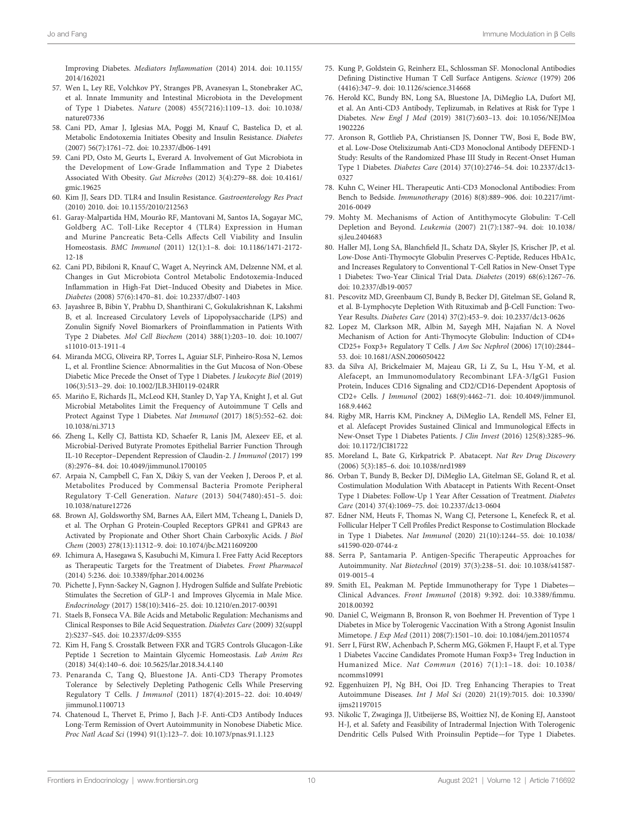<span id="page-9-0"></span>Improving Diabetes. Mediators Inflammation (2014) 2014. doi: [10.1155/](https://doi.org/10.1155/2014/162021) [2014/162021](https://doi.org/10.1155/2014/162021)

- 57. Wen L, Ley RE, Volchkov PY, Stranges PB, Avanesyan L, Stonebraker AC, et al. Innate Immunity and Intestinal Microbiota in the Development of Type 1 Diabetes. Nature (2008) 455(7216):1109–13. doi: [10.1038/](https://doi.org/10.1038/nature07336) [nature07336](https://doi.org/10.1038/nature07336)
- 58. Cani PD, Amar J, Iglesias MA, Poggi M, Knauf C, Bastelica D, et al. Metabolic Endotoxemia Initiates Obesity and Insulin Resistance. Diabetes (2007) 56(7):1761–72. doi: [10.2337/db06-1491](https://doi.org/10.2337/db06-1491)
- 59. Cani PD, Osto M, Geurts L, Everard A. Involvement of Gut Microbiota in the Development of Low-Grade Inflammation and Type 2 Diabetes Associated With Obesity. Gut Microbes (2012) 3(4):279–88. doi: [10.4161/](https://doi.org/10.4161/gmic.19625) [gmic.19625](https://doi.org/10.4161/gmic.19625)
- 60. Kim JJ, Sears DD. TLR4 and Insulin Resistance. Gastroenterology Res Pract (2010) 2010. doi: [10.1155/2010/212563](https://doi.org/10.1155/2010/212563)
- 61. Garay-Malpartida HM, Mourão RF, Mantovani M, Santos IA, Sogayar MC, Goldberg AC. Toll-Like Receptor 4 (TLR4) Expression in Human and Murine Pancreatic Beta-Cells Affects Cell Viability and Insulin Homeostasis. BMC Immunol (2011) 12(1):1–8. doi: [10.1186/1471-2172-](https://doi.org/10.1186/1471-2172-12-18) [12-18](https://doi.org/10.1186/1471-2172-12-18)
- 62. Cani PD, Bibiloni R, Knauf C, Waget A, Neyrinck AM, Delzenne NM, et al. Changes in Gut Microbiota Control Metabolic Endotoxemia-Induced Inflammation in High-Fat Diet–Induced Obesity and Diabetes in Mice. Diabetes (2008) 57(6):1470–81. doi: [10.2337/db07-1403](https://doi.org/10.2337/db07-1403)
- 63. Jayashree B, Bibin Y, Prabhu D, Shanthirani C, Gokulakrishnan K, Lakshmi B, et al. Increased Circulatory Levels of Lipopolysaccharide (LPS) and Zonulin Signify Novel Biomarkers of Proinflammation in Patients With Type 2 Diabetes. Mol Cell Biochem (2014) 388(1):203–10. doi: [10.1007/](https://doi.org/10.1007/s11010-013-1911-4) [s11010-013-1911-4](https://doi.org/10.1007/s11010-013-1911-4)
- 64. Miranda MCG, Oliveira RP, Torres L, Aguiar SLF, Pinheiro-Rosa N, Lemos L, et al. Frontline Science: Abnormalities in the Gut Mucosa of Non-Obese Diabetic Mice Precede the Onset of Type 1 Diabetes. J leukocyte Biol (2019) 106(3):513–29. doi: [10.1002/JLB.3HI0119-024RR](https://doi.org/10.1002/JLB.3HI0119-024RR)
- 65. Mariño E, Richards JL, McLeod KH, Stanley D, Yap YA, Knight J, et al. Gut Microbial Metabolites Limit the Frequency of Autoimmune T Cells and Protect Against Type 1 Diabetes. Nat Immunol (2017) 18(5):552–62. doi: [10.1038/ni.3713](https://doi.org/10.1038/ni.3713)
- 66. Zheng L, Kelly CJ, Battista KD, Schaefer R, Lanis JM, Alexeev EE, et al. Microbial-Derived Butyrate Promotes Epithelial Barrier Function Through IL-10 Receptor–Dependent Repression of Claudin-2. J Immunol (2017) 199 (8):2976–84. doi: [10.4049/jimmunol.1700105](https://doi.org/10.4049/jimmunol.1700105)
- 67. Arpaia N, Campbell C, Fan X, Dikiy S, van der Veeken J, Deroos P, et al. Metabolites Produced by Commensal Bacteria Promote Peripheral Regulatory T-Cell Generation. Nature (2013) 504(7480):451–5. doi: [10.1038/nature12726](https://doi.org/10.1038/nature12726)
- 68. Brown AJ, Goldsworthy SM, Barnes AA, Eilert MM, Tcheang L, Daniels D, et al. The Orphan G Protein-Coupled Receptors GPR41 and GPR43 are Activated by Propionate and Other Short Chain Carboxylic Acids. J Biol Chem (2003) 278(13):11312–9. doi: [10.1074/jbc.M211609200](https://doi.org/10.1074/jbc.M211609200)
- 69. Ichimura A, Hasegawa S, Kasubuchi M, Kimura I. Free Fatty Acid Receptors as Therapeutic Targets for the Treatment of Diabetes. Front Pharmacol (2014) 5:236. doi: [10.3389/fphar.2014.00236](https://doi.org/10.3389/fphar.2014.00236)
- 70. Pichette J, Fynn-Sackey N, Gagnon J. Hydrogen Sulfide and Sulfate Prebiotic Stimulates the Secretion of GLP-1 and Improves Glycemia in Male Mice. Endocrinology (2017) 158(10):3416–25. doi: [10.1210/en.2017-00391](https://doi.org/10.1210/en.2017-00391)
- 71. Staels B, Fonseca VA. Bile Acids and Metabolic Regulation: Mechanisms and Clinical Responses to Bile Acid Sequestration. Diabetes Care (2009) 32(suppl 2):S237–S45. doi: [10.2337/dc09-S355](https://doi.org/10.2337/dc09-S355)
- 72. Kim H, Fang S. Crosstalk Between FXR and TGR5 Controls Glucagon-Like Peptide 1 Secretion to Maintain Glycemic Homeostasis. Lab Anim Res (2018) 34(4):140–6. doi: [10.5625/lar.2018.34.4.140](https://doi.org/10.5625/lar.2018.34.4.140)
- 73. Penaranda C, Tang Q, Bluestone JA. Anti-CD3 Therapy Promotes Tolerance by Selectively Depleting Pathogenic Cells While Preserving Regulatory T Cells. J Immunol (2011) 187(4):2015–22. doi: [10.4049/](https://doi.org/10.4049/jimmunol.1100713) [jimmunol.1100713](https://doi.org/10.4049/jimmunol.1100713)
- 74. Chatenoud L, Thervet E, Primo J, Bach J-F. Anti-CD3 Antibody Induces Long-Term Remission of Overt Autoimmunity in Nonobese Diabetic Mice. Proc Natl Acad Sci (1994) 91(1):123–7. doi: [10.1073/pnas.91.1.123](https://doi.org/10.1073/pnas.91.1.123)
- 75. Kung P, Goldstein G, Reinherz EL, Schlossman SF. Monoclonal Antibodies Defining Distinctive Human T Cell Surface Antigens. Science (1979) 206 (4416):347–9. doi: [10.1126/science.314668](https://doi.org/10.1126/science.314668)
- 76. Herold KC, Bundy BN, Long SA, Bluestone JA, DiMeglio LA, Dufort MJ, et al. An Anti-CD3 Antibody, Teplizumab, in Relatives at Risk for Type 1 Diabetes. New Engl J Med (2019) 381(7):603–13. doi: [10.1056/NEJMoa](https://doi.org/10.1056/NEJMoa1902226) [1902226](https://doi.org/10.1056/NEJMoa1902226)
- 77. Aronson R, Gottlieb PA, Christiansen JS, Donner TW, Bosi E, Bode BW, et al. Low-Dose Otelixizumab Anti-CD3 Monoclonal Antibody DEFEND-1 Study: Results of the Randomized Phase III Study in Recent-Onset Human Type 1 Diabetes. Diabetes Care (2014) 37(10):2746–54. doi: [10.2337/dc13-](https://doi.org/10.2337/dc13-0327) [0327](https://doi.org/10.2337/dc13-0327)
- 78. Kuhn C, Weiner HL. Therapeutic Anti-CD3 Monoclonal Antibodies: From Bench to Bedside. Immunotherapy (2016) 8(8):889–906. doi: [10.2217/imt-](https://doi.org/10.2217/imt-2016-0049)[2016-0049](https://doi.org/10.2217/imt-2016-0049)
- 79. Mohty M. Mechanisms of Action of Antithymocyte Globulin: T-Cell Depletion and Beyond. Leukemia (2007) 21(7):1387–94. doi: [10.1038/](https://doi.org/10.1038/sj.leu.2404683) si leu 2404683
- 80. Haller MJ, Long SA, Blanchfield JL, Schatz DA, Skyler JS, Krischer JP, et al. Low-Dose Anti-Thymocyte Globulin Preserves C-Peptide, Reduces HbA1c, and Increases Regulatory to Conventional T-Cell Ratios in New-Onset Type 1 Diabetes: Two-Year Clinical Trial Data. Diabetes (2019) 68(6):1267–76. doi: [10.2337/db19-0057](https://doi.org/10.2337/db19-0057)
- 81. Pescovitz MD, Greenbaum CJ, Bundy B, Becker DJ, Gitelman SE, Goland R, et al. B-Lymphocyte Depletion With Rituximab and  $\beta$ -Cell Function: Two-Year Results. Diabetes Care (2014) 37(2):453–9. doi: [10.2337/dc13-0626](https://doi.org/10.2337/dc13-0626)
- 82. Lopez M, Clarkson MR, Albin M, Sayegh MH, Najafian N. A Novel Mechanism of Action for Anti-Thymocyte Globulin: Induction of CD4+ CD25+ Foxp3+ Regulatory T Cells. J Am Soc Nephrol (2006) 17(10):2844– 53. doi: [10.1681/ASN.2006050422](https://doi.org/10.1681/ASN.2006050422)
- 83. da Silva AJ, Brickelmaier M, Majeau GR, Li Z, Su L, Hsu Y-M, et al. Alefacept, an Immunomodulatory Recombinant LFA-3/IgG1 Fusion Protein, Induces CD16 Signaling and CD2/CD16-Dependent Apoptosis of CD2+ Cells. J Immunol (2002) 168(9):4462–71. doi: [10.4049/jimmunol.](https://doi.org/10.4049/jimmunol.168.9.4462) [168.9.4462](https://doi.org/10.4049/jimmunol.168.9.4462)
- 84. Rigby MR, Harris KM, Pinckney A, DiMeglio LA, Rendell MS, Felner EI, et al. Alefacept Provides Sustained Clinical and Immunological Effects in New-Onset Type 1 Diabetes Patients. J Clin Invest (2016) 125(8):3285–96. doi: [10.1172/JCI81722](https://doi.org/10.1172/JCI81722)
- 85. Moreland L, Bate G, Kirkpatrick P. Abatacept. Nat Rev Drug Discovery (2006) 5(3):185–6. doi: [10.1038/nrd1989](https://doi.org/10.1038/nrd1989)
- 86. Orban T, Bundy B, Becker DJ, DiMeglio LA, Gitelman SE, Goland R, et al. Costimulation Modulation With Abatacept in Patients With Recent-Onset Type 1 Diabetes: Follow-Up 1 Year After Cessation of Treatment. Diabetes Care (2014) 37(4):1069–75. doi: [10.2337/dc13-0604](https://doi.org/10.2337/dc13-0604)
- 87. Edner NM, Heuts F, Thomas N, Wang CJ, Petersone L, Kenefeck R, et al. Follicular Helper T Cell Profiles Predict Response to Costimulation Blockade in Type 1 Diabetes. Nat Immunol (2020) 21(10):1244–55. doi: [10.1038/](https://doi.org/10.1038/s41590-020-0744-z) [s41590-020-0744-z](https://doi.org/10.1038/s41590-020-0744-z)
- 88. Serra P, Santamaria P. Antigen-Specific Therapeutic Approaches for Autoimmunity. Nat Biotechnol (2019) 37(3):238–51. doi: [10.1038/s41587-](https://doi.org/10.1038/s41587-019-0015-4) [019-0015-4](https://doi.org/10.1038/s41587-019-0015-4)
- 89. Smith EL, Peakman M. Peptide Immunotherapy for Type 1 Diabetes— Clinical Advances. Front Immunol (2018) 9:392. doi: [10.3389/](https://doi.org/10.3389/fimmu.2018.00392)fimmu. [2018.00392](https://doi.org/10.3389/fimmu.2018.00392)
- 90. Daniel C, Weigmann B, Bronson R, von Boehmer H. Prevention of Type 1 Diabetes in Mice by Tolerogenic Vaccination With a Strong Agonist Insulin Mimetope. J Exp Med (2011) 208(7):1501–10. doi: [10.1084/jem.20110574](https://doi.org/10.1084/jem.20110574)
- 91. Serr I, Fürst RW, Achenbach P, Scherm MG, Gökmen F, Haupt F, et al. Type 1 Diabetes Vaccine Candidates Promote Human Foxp3+ Treg Induction in Humanized Mice. Nat Commun (2016) 7(1):1–18. doi: [10.1038/](https://doi.org/10.1038/ncomms10991) [ncomms10991](https://doi.org/10.1038/ncomms10991)
- 92. Eggenhuizen PJ, Ng BH, Ooi JD. Treg Enhancing Therapies to Treat Autoimmune Diseases. Int J Mol Sci (2020) 21(19):7015. doi: [10.3390/](https://doi.org/10.3390/ijms21197015) iims21197015
- 93. Nikolic T, Zwaginga JJ, Uitbeijerse BS, Woittiez NJ, de Koning EJ, Aanstoot H-J, et al. Safety and Feasibility of Intradermal Injection With Tolerogenic Dendritic Cells Pulsed With Proinsulin Peptide—for Type 1 Diabetes.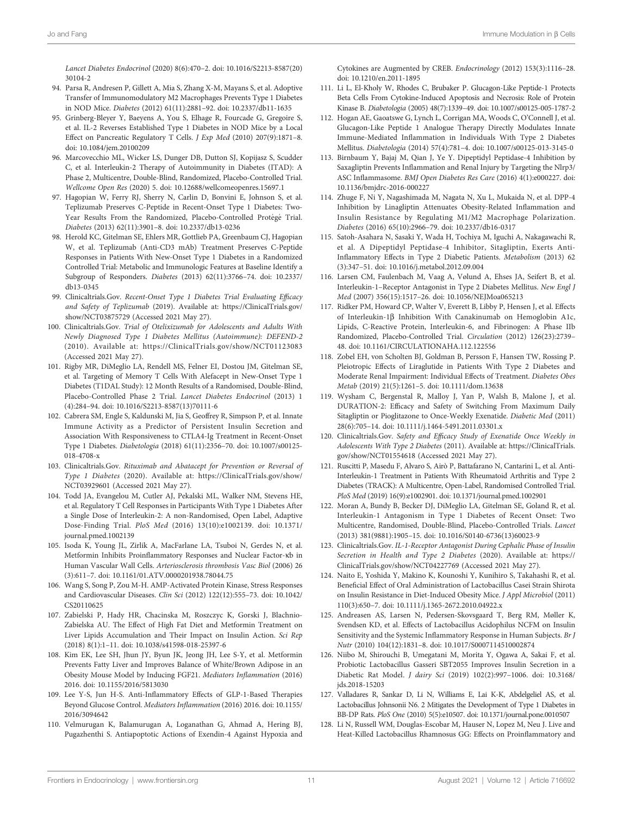<span id="page-10-0"></span>Lancet Diabetes Endocrinol (2020) 8(6):470–2. doi: [10.1016/S2213-8587\(20\)](https://doi.org/10.1016/S2213-8587(20)30104-2) [30104-2](https://doi.org/10.1016/S2213-8587(20)30104-2)

- 94. Parsa R, Andresen P, Gillett A, Mia S, Zhang X-M, Mayans S, et al. Adoptive Transfer of Immunomodulatory M2 Macrophages Prevents Type 1 Diabetes in NOD Mice. Diabetes (2012) 61(11):2881–92. doi: [10.2337/db11-1635](https://doi.org/10.2337/db11-1635)
- 95. Grinberg-Bleyer Y, Baeyens A, You S, Elhage R, Fourcade G, Gregoire S, et al. IL-2 Reverses Established Type 1 Diabetes in NOD Mice by a Local Effect on Pancreatic Regulatory T Cells. J Exp Med (2010) 207(9):1871–8. doi: [10.1084/jem.20100209](https://doi.org/10.1084/jem.20100209)
- 96. Marcovecchio ML, Wicker LS, Dunger DB, Dutton SJ, Kopijasz S, Scudder C, et al. Interleukin-2 Therapy of Autoimmunity in Diabetes (ITAD): A Phase 2, Multicentre, Double-Blind, Randomized, Placebo-Controlled Trial. Wellcome Open Res (2020) 5. doi: [10.12688/wellcomeopenres.15697.1](https://doi.org/10.12688/wellcomeopenres.15697.1)
- 97. Hagopian W, Ferry RJ, Sherry N, Carlin D, Bonvini E, Johnson S, et al. Teplizumab Preserves C-Peptide in Recent-Onset Type 1 Diabetes: Two-Year Results From the Randomized, Placebo-Controlled Protégé Trial. Diabetes (2013) 62(11):3901–8. doi: [10.2337/db13-0236](https://doi.org/10.2337/db13-0236)
- 98. Herold KC, Gitelman SE, Ehlers MR, Gottlieb PA, Greenbaum CJ, Hagopian W, et al. Teplizumab (Anti-CD3 mAb) Treatment Preserves C-Peptide Responses in Patients With New-Onset Type 1 Diabetes in a Randomized Controlled Trial: Metabolic and Immunologic Features at Baseline Identify a Subgroup of Responders. Diabetes (2013) 62(11):3766–74. doi: [10.2337/](https://doi.org/10.2337/db13-0345) [db13-0345](https://doi.org/10.2337/db13-0345)
- 99. Clinicaltrials.Gov. Recent-Onset Type 1 Diabetes Trial Evaluating Efficacy and Safety of Teplizumab (2019). Available at: [https://ClinicalTrials.gov/](https://ClinicalTrials.gov/show/NCT03875729) [show/NCT03875729](https://ClinicalTrials.gov/show/NCT03875729) (Accessed 2021 May 27).
- 100. Clinicaltrials.Gov. Trial of Otelixizumab for Adolescents and Adults With Newly Diagnosed Type 1 Diabetes Mellitus (Autoimmune): DEFEND-2 (2010). Available at:<https://ClinicalTrials.gov/show/NCT01123083> (Accessed 2021 May 27).
- 101. Rigby MR, DiMeglio LA, Rendell MS, Felner EI, Dostou JM, Gitelman SE, et al. Targeting of Memory T Cells With Alefacept in New-Onset Type 1 Diabetes (T1DAL Study): 12 Month Results of a Randomised, Double-Blind, Placebo-Controlled Phase 2 Trial. Lancet Diabetes Endocrinol (2013) 1 (4):284–94. doi: [10.1016/S2213-8587\(13\)70111-6](https://doi.org/10.1016/S2213-8587(13)70111-6)
- 102. Cabrera SM, Engle S, Kaldunski M, Jia S, Geoffrey R, Simpson P, et al. Innate Immune Activity as a Predictor of Persistent Insulin Secretion and Association With Responsiveness to CTLA4-Ig Treatment in Recent-Onset Type 1 Diabetes. Diabetologia (2018) 61(11):2356–70. doi: [10.1007/s00125-](https://doi.org/10.1007/s00125-018-4708-x) [018-4708-x](https://doi.org/10.1007/s00125-018-4708-x)
- 103. Clinicaltrials.Gov. Rituximab and Abatacept for Prevention or Reversal of Type 1 Diabetes (2020). Available at: [https://ClinicalTrials.gov/show/](https://ClinicalTrials.gov/show/NCT03929601) [NCT03929601](https://ClinicalTrials.gov/show/NCT03929601) (Accessed 2021 May 27).
- 104. Todd JA, Evangelou M, Cutler AJ, Pekalski ML, Walker NM, Stevens HE, et al. Regulatory T Cell Responses in Participants With Type 1 Diabetes After a Single Dose of Interleukin-2: A non-Randomised, Open Label, Adaptive Dose-Finding Trial. PloS Med (2016) 13(10):e1002139. doi: [10.1371/](https://doi.org/10.1371/journal.pmed.1002139) [journal.pmed.1002139](https://doi.org/10.1371/journal.pmed.1002139)
- 105. Isoda K, Young JL, Zirlik A, MacFarlane LA, Tsuboi N, Gerdes N, et al. Metformin Inhibits Proinflammatory Responses and Nuclear Factor-kb in Human Vascular Wall Cells. Arteriosclerosis thrombosis Vasc Biol (2006) 26 (3):611–7. doi: [10.1161/01.ATV.0000201938.78044.75](https://doi.org/10.1161/01.ATV.0000201938.78044.75)
- 106. Wang S, Song P, Zou M-H. AMP-Activated Protein Kinase, Stress Responses and Cardiovascular Diseases. Clin Sci (2012) 122(12):555–73. doi: [10.1042/](https://doi.org/10.1042/CS20110625) [CS20110625](https://doi.org/10.1042/CS20110625)
- 107. Zabielski P, Hady HR, Chacinska M, Roszczyc K, Gorski J, Blachnio-Zabielska AU. The Effect of High Fat Diet and Metformin Treatment on Liver Lipids Accumulation and Their Impact on Insulin Action. Sci Rep (2018) 8(1):1–11. doi: [10.1038/s41598-018-25397-6](https://doi.org/10.1038/s41598-018-25397-6)
- 108. Kim EK, Lee SH, Jhun JY, Byun JK, Jeong JH, Lee S-Y, et al. Metformin Prevents Fatty Liver and Improves Balance of White/Brown Adipose in an Obesity Mouse Model by Inducing FGF21. Mediators Inflammation (2016) 2016. doi: [10.1155/2016/5813030](https://doi.org/10.1155/2016/5813030)
- 109. Lee Y-S, Jun H-S. Anti-Inflammatory Effects of GLP-1-Based Therapies Beyond Glucose Control. Mediators Inflammation (2016) 2016. doi: [10.1155/](https://doi.org/10.1155/2016/3094642) [2016/3094642](https://doi.org/10.1155/2016/3094642)
- 110. Velmurugan K, Balamurugan A, Loganathan G, Ahmad A, Hering BJ, Pugazhenthi S. Antiapoptotic Actions of Exendin-4 Against Hypoxia and

Cytokines are Augmented by CREB. Endocrinology (2012) 153(3):1116–28. doi: [10.1210/en.2011-1895](https://doi.org/10.1210/en.2011-1895)

- 111. Li L, El-Kholy W, Rhodes C, Brubaker P. Glucagon-Like Peptide-1 Protects Beta Cells From Cytokine-Induced Apoptosis and Necrosis: Role of Protein Kinase B. Diabetologia (2005) 48(7):1339–49. doi: [10.1007/s00125-005-1787-2](https://doi.org/10.1007/s00125-005-1787-2)
- 112. Hogan AE, Gaoatswe G, Lynch L, Corrigan MA, Woods C, O'Connell J, et al. Glucagon-Like Peptide 1 Analogue Therapy Directly Modulates Innate Immune-Mediated Inflammation in Individuals With Type 2 Diabetes Mellitus. Diabetologia (2014) 57(4):781–4. doi: [10.1007/s00125-013-3145-0](https://doi.org/10.1007/s00125-013-3145-0)
- 113. Birnbaum Y, Bajaj M, Qian J, Ye Y. Dipeptidyl Peptidase-4 Inhibition by Saxagliptin Prevents Inflammation and Renal Injury by Targeting the Nlrp3/ ASC Inflammasome. BMJ Open Diabetes Res Care (2016) 4(1):e000227. doi: [10.1136/bmjdrc-2016-000227](https://doi.org/10.1136/bmjdrc-2016-000227)
- 114. Zhuge F, Ni Y, Nagashimada M, Nagata N, Xu L, Mukaida N, et al. DPP-4 Inhibition by Linagliptin Attenuates Obesity-Related Inflammation and Insulin Resistance by Regulating M1/M2 Macrophage Polarization. Diabetes (2016) 65(10):2966–79. doi: [10.2337/db16-0317](https://doi.org/10.2337/db16-0317)
- 115. Satoh-Asahara N, Sasaki Y, Wada H, Tochiya M, Iguchi A, Nakagawachi R, et al. A Dipeptidyl Peptidase-4 Inhibitor, Sitagliptin, Exerts Anti-Inflammatory Effects in Type 2 Diabetic Patients. Metabolism (2013) 62 (3):347–51. doi: [10.1016/j.metabol.2012.09.004](https://doi.org/10.1016/j.metabol.2012.09.004)
- 116. Larsen CM, Faulenbach M, Vaag A, Vølund A, Ehses JA, Seifert B, et al. Interleukin-1–Receptor Antagonist in Type 2 Diabetes Mellitus. New Engl J Med (2007) 356(15):1517–26. doi: [10.1056/NEJMoa065213](https://doi.org/10.1056/NEJMoa065213)
- 117. Ridker PM, Howard CP, Walter V, Everett B, Libby P, Hensen J, et al. Effects of Interleukin-1b Inhibition With Canakinumab on Hemoglobin A1c, Lipids, C-Reactive Protein, Interleukin-6, and Fibrinogen: A Phase IIb Randomized, Placebo-Controlled Trial. Circulation (2012) 126(23):2739– 48. doi: [10.1161/CIRCULATIONAHA.112.122556](https://doi.org/10.1161/CIRCULATIONAHA.112.122556)
- 118. Zobel EH, von Scholten BJ, Goldman B, Persson F, Hansen TW, Rossing P. Pleiotropic Effects of Liraglutide in Patients With Type 2 Diabetes and Moderate Renal Impairment: Individual Effects of Treatment. Diabetes Obes Metab (2019) 21(5):1261–5. doi: [10.1111/dom.13638](https://doi.org/10.1111/dom.13638)
- 119. Wysham C, Bergenstal R, Malloy J, Yan P, Walsh B, Malone J, et al. DURATION-2: Efficacy and Safety of Switching From Maximum Daily Sitagliptin or Pioglitazone to Once-Weekly Exenatide. Diabetic Med (2011) 28(6):705–14. doi: [10.1111/j.1464-5491.2011.03301.x](https://doi.org/10.1111/j.1464-5491.2011.03301.x)
- 120. Clinicaltrials.Gov. Safety and Efficacy Study of Exenatide Once Weekly in Adolescents With Type 2 Diabetes (2011). Available at: [https://ClinicalTrials.](https://ClinicalTrials.gov/show/NCT01554618) [gov/show/NCT01554618](https://ClinicalTrials.gov/show/NCT01554618) (Accessed 2021 May 27).
- 121. Ruscitti P, Masedu F, Alvaro S, Airò P, Battafarano N, Cantarini L, et al. Anti-Interleukin-1 Treatment in Patients With Rheumatoid Arthritis and Type 2 Diabetes (TRACK): A Multicentre, Open-Label, Randomised Controlled Trial. PloS Med (2019) 16(9):e1002901. doi: [10.1371/journal.pmed.1002901](https://doi.org/10.1371/journal.pmed.1002901)
- 122. Moran A, Bundy B, Becker DJ, DiMeglio LA, Gitelman SE, Goland R, et al. Interleukin-1 Antagonism in Type 1 Diabetes of Recent Onset: Two Multicentre, Randomised, Double-Blind, Placebo-Controlled Trials. Lancet (2013) 381(9881):1905–15. doi: [10.1016/S0140-6736\(13\)60023-9](https://doi.org/10.1016/S0140-6736(13)60023-9)
- 123. Clinicaltrials.Gov. IL-1-Receptor Antagonist During Cephalic Phase of Insulin Secretion in Health and Type 2 Diabetes (2020). Available at: [https://](https://ClinicalTrials.gov/show/NCT04227769) [ClinicalTrials.gov/show/NCT04227769](https://ClinicalTrials.gov/show/NCT04227769) (Accessed 2021 May 27).
- 124. Naito E, Yoshida Y, Makino K, Kounoshi Y, Kunihiro S, Takahashi R, et al. Beneficial Effect of Oral Administration of Lactobacillus Casei Strain Shirota on Insulin Resistance in Diet-Induced Obesity Mice. J Appl Microbiol (2011) 110(3):650–7. doi: [10.1111/j.1365-2672.2010.04922.x](https://doi.org/10.1111/j.1365-2672.2010.04922.x)
- 125. Andreasen AS, Larsen N, Pedersen-Skovsgaard T, Berg RM, Møller K, Svendsen KD, et al. Effects of Lactobacillus Acidophilus NCFM on Insulin Sensitivity and the Systemic Inflammatory Response in Human Subjects. Br J Nutr (2010) 104(12):1831–8. doi: [10.1017/S0007114510002874](https://doi.org/10.1017/S0007114510002874)
- 126. Niibo M, Shirouchi B, Umegatani M, Morita Y, Ogawa A, Sakai F, et al. Probiotic Lactobacillus Gasseri SBT2055 Improves Insulin Secretion in a Diabetic Rat Model. J dairy Sci (2019) 102(2):997–1006. doi: [10.3168/](https://doi.org/10.3168/jds.2018-15203) [jds.2018-15203](https://doi.org/10.3168/jds.2018-15203)
- 127. Valladares R, Sankar D, Li N, Williams E, Lai K-K, Abdelgeliel AS, et al. Lactobacillus Johnsonii N6. 2 Mitigates the Development of Type 1 Diabetes in BB-DP Rats. PloS One (2010) 5(5):e10507. doi: [10.1371/journal.pone.0010507](https://doi.org/10.1371/journal.pone.0010507)
- 128. Li N, Russell WM, Douglas-Escobar M, Hauser N, Lopez M, Neu J. Live and Heat-Killed Lactobacillus Rhamnosus GG: Effects on Proinflammatory and